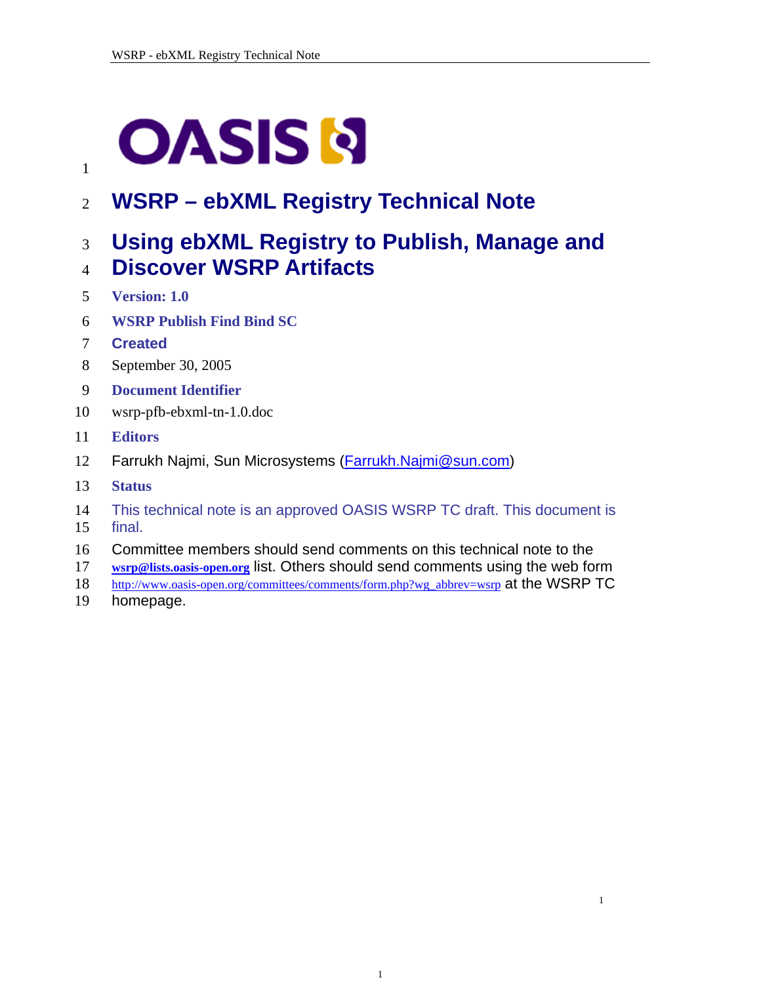# <span id="page-0-0"></span>**OASIS N**

2 **WSRP – ebXML Registry Technical Note** 

# 3 **Using ebXML Registry to Publish, Manage and**

## 4 **Discover WSRP Artifacts**

- 5 **Version: 1.0**
- 6 **WSRP Publish Find Bind SC**
- 7 **Created**

1

- 8 September 30, 2005
- 9 **Document Identifier**
- 10 wsrp-pfb-ebxml-tn-1.0.doc
- 11 **Editors**
- 12 Farrukh Najmi, Sun Microsystems [\(Farrukh.Najmi@sun.com](mailto:Farrukh.Najmi@sun.com))
- 13 **Status**
- 14 This technical note is an approved OASIS WSRP TC draft. This document is
- 15 final.
- 16 Committee members should send comments on this technical note to the
- 17 **[wsrp@lists.oasis-open.org](mailto:wsrp@lists.oasis-open.org)** list. Others should send comments using the web form
- [http://www.oasis-open.org/committees/comments/form.php?wg\\_abbrev=wsrp](http://www.oasis-open.org/committees/comments/form.php?wg_abbrev=wsrp) at the WSRP TC 18
- homepage. 19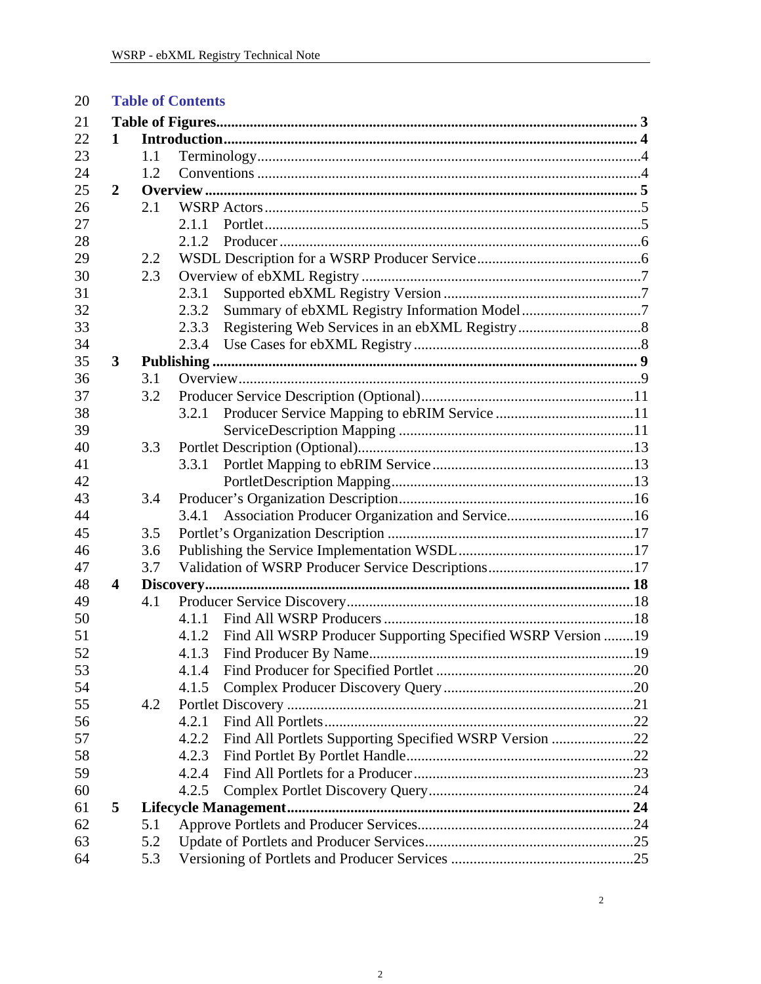| 20 |                         | <b>Table of Contents</b> |                                                                       |  |  |  |
|----|-------------------------|--------------------------|-----------------------------------------------------------------------|--|--|--|
| 21 |                         |                          |                                                                       |  |  |  |
| 22 | 1                       |                          |                                                                       |  |  |  |
| 23 |                         | 1.1                      |                                                                       |  |  |  |
| 24 |                         | 1.2                      |                                                                       |  |  |  |
| 25 | $\overline{2}$          |                          |                                                                       |  |  |  |
| 26 |                         | 2.1                      |                                                                       |  |  |  |
| 27 |                         |                          | 2.1.1                                                                 |  |  |  |
| 28 |                         |                          | 2.1.2                                                                 |  |  |  |
| 29 |                         | 2.2                      |                                                                       |  |  |  |
| 30 |                         | 2.3                      |                                                                       |  |  |  |
| 31 |                         |                          | 2.3.1                                                                 |  |  |  |
| 32 |                         |                          | 2.3.2                                                                 |  |  |  |
| 33 |                         |                          | 2.3.3                                                                 |  |  |  |
| 34 |                         |                          | 2.3.4                                                                 |  |  |  |
| 35 | $\overline{\mathbf{3}}$ |                          |                                                                       |  |  |  |
| 36 |                         | 3.1                      |                                                                       |  |  |  |
| 37 |                         | 3.2                      |                                                                       |  |  |  |
| 38 |                         |                          | 3.2.1                                                                 |  |  |  |
| 39 |                         |                          |                                                                       |  |  |  |
| 40 |                         | 3.3                      |                                                                       |  |  |  |
| 41 |                         |                          | 3.3.1                                                                 |  |  |  |
| 42 |                         |                          |                                                                       |  |  |  |
| 43 |                         | 3.4                      |                                                                       |  |  |  |
| 44 |                         |                          | 3.4.1                                                                 |  |  |  |
| 45 |                         | 3.5                      |                                                                       |  |  |  |
| 46 |                         | 3.6                      |                                                                       |  |  |  |
| 47 |                         | 3.7                      |                                                                       |  |  |  |
| 48 | $\overline{\mathbf{4}}$ |                          |                                                                       |  |  |  |
| 49 |                         | 4.1                      |                                                                       |  |  |  |
| 50 |                         |                          | 4.1.1                                                                 |  |  |  |
| 51 |                         |                          | Find All WSRP Producer Supporting Specified WSRP Version  19<br>4.1.2 |  |  |  |
| 52 |                         |                          | 4.1.3                                                                 |  |  |  |
| 53 |                         |                          | 4.1.4                                                                 |  |  |  |
| 54 |                         |                          | 4.1.5                                                                 |  |  |  |
| 55 |                         | 4.2                      |                                                                       |  |  |  |
| 56 |                         |                          | 4.2.1                                                                 |  |  |  |
| 57 |                         |                          | Find All Portlets Supporting Specified WSRP Version 22<br>4.2.2       |  |  |  |
| 58 |                         |                          | 4.2.3                                                                 |  |  |  |
| 59 |                         |                          | 4.2.4                                                                 |  |  |  |
| 60 |                         |                          | 4.2.5                                                                 |  |  |  |
| 61 | 5                       |                          |                                                                       |  |  |  |
| 62 |                         | 5.1                      |                                                                       |  |  |  |
| 63 |                         | 5.2                      |                                                                       |  |  |  |
| 64 |                         | 5.3                      |                                                                       |  |  |  |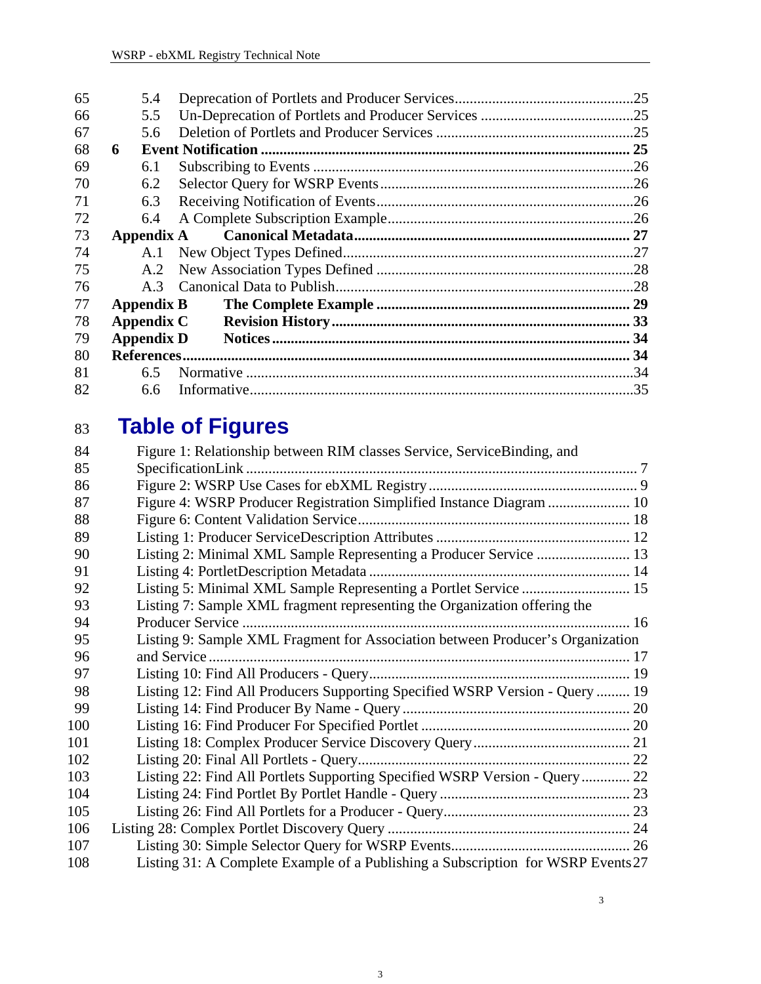<span id="page-2-0"></span>

| 65 |                   | 5.4 |  |
|----|-------------------|-----|--|
| 66 |                   | 5.5 |  |
| 67 |                   | 5.6 |  |
| 68 | 6                 |     |  |
| 69 |                   | 6.1 |  |
| 70 |                   | 6.2 |  |
| 71 |                   | 6.3 |  |
| 72 |                   | 6.4 |  |
| 73 |                   |     |  |
| 74 |                   | A.1 |  |
| 75 |                   | A.2 |  |
| 76 |                   | A.3 |  |
| 77 | <b>Appendix B</b> |     |  |
| 78 | Appendix C        |     |  |
| 79 | <b>Appendix D</b> |     |  |
| 80 |                   |     |  |
| 81 |                   | 6.5 |  |
| 82 |                   | 6.6 |  |

## 83  **Table of Figures**

| 84  | Figure 1: Relationship between RIM classes Service, ServiceBinding, and          |  |
|-----|----------------------------------------------------------------------------------|--|
| 85  |                                                                                  |  |
| 86  |                                                                                  |  |
| 87  | Figure 4: WSRP Producer Registration Simplified Instance Diagram  10             |  |
| 88  |                                                                                  |  |
| 89  |                                                                                  |  |
| 90  |                                                                                  |  |
| 91  |                                                                                  |  |
| 92  | Listing 5: Minimal XML Sample Representing a Portlet Service  15                 |  |
| 93  | Listing 7: Sample XML fragment representing the Organization offering the        |  |
| 94  |                                                                                  |  |
| 95  | Listing 9: Sample XML Fragment for Association between Producer's Organization   |  |
| 96  |                                                                                  |  |
| 97  |                                                                                  |  |
| 98  | Listing 12: Find All Producers Supporting Specified WSRP Version - Query  19     |  |
| 99  |                                                                                  |  |
| 100 |                                                                                  |  |
| 101 |                                                                                  |  |
| 102 |                                                                                  |  |
| 103 | Listing 22: Find All Portlets Supporting Specified WSRP Version - Query 22       |  |
| 104 |                                                                                  |  |
| 105 |                                                                                  |  |
| 106 |                                                                                  |  |
| 107 |                                                                                  |  |
| 108 | Listing 31: A Complete Example of a Publishing a Subscription for WSRP Events 27 |  |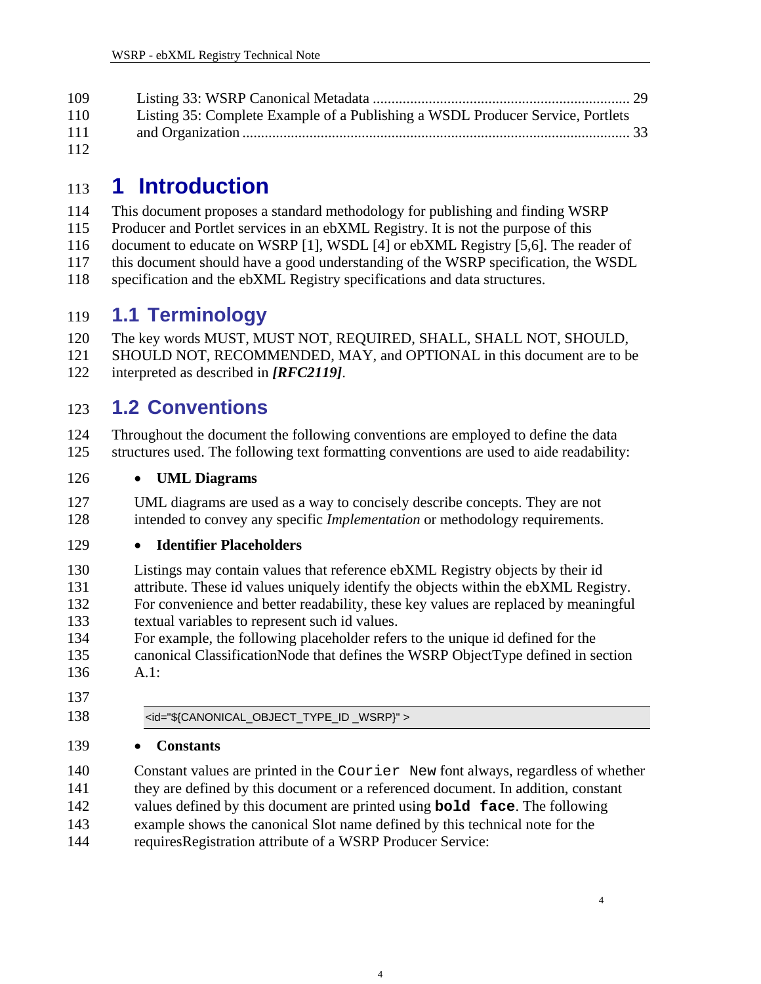<span id="page-3-0"></span>

| 109 |                                                                                |
|-----|--------------------------------------------------------------------------------|
| 110 | Listing 35: Complete Example of a Publishing a WSDL Producer Service, Portlets |
| 111 |                                                                                |
| 112 |                                                                                |

# 113 **1 Introduction**

- 114 This document proposes a standard methodology for publishing and finding WSRP
- 115 Producer and Portlet services in an ebXML Registry. It is not the purpose of this
- 116 document to educate on WSRP [1], WSDL [4] or ebXML Registry [5,6]. The reader of
- 117 this document should have a good understanding of the WSRP specification, the WSDL
- 118 specification and the ebXML Registry specifications and data structures.

#### 119 **1.1 Terminology**

- 120 121 The key words MUST, MUST NOT, REQUIRED, SHALL, SHALL NOT, SHOULD, SHOULD NOT, RECOMMENDED, MAY, and OPTIONAL in this document are to be
- 122 interpreted as described in *[\[RFC2119\]](#page-33-1)*.

#### 123 **1.2 Conventions**

- 124 125 Throughout the document the following conventions are employed to define the data structures used. The following text formatting conventions are used to aide readability:
- 126 • **UML Diagrams**
- 127 128 UML diagrams are used as a way to concisely describe concepts. They are not intended to convey any specific *Implementation* or methodology requirements.

#### 129 • **Identifier Placeholders**

- 130 131 132 133 Listings may contain values that reference ebXML Registry objects by their id attribute. These id values uniquely identify the objects within the ebXML Registry. For convenience and better readability, these key values are replaced by meaningful textual variables to represent such id values.
- 134 135 136 For example, the following placeholder refers to the unique id defined for the canonical ClassificationNode that defines the WSRP ObjectType defined in section  $A.1$ :
- 137
- 

138 <id="\${CANONICAL\_OBJECT\_TYPE\_ID \_WSRP}" >

#### 139 • **Constants**

140 141 142 143 144 Constant values are printed in the Courier New font always, regardless of whether they are defined by this document or a referenced document. In addition, constant values defined by this document are printed using **bold face**. The following example shows the canonical Slot name defined by this technical note for the requiresRegistration attribute of a WSRP Producer Service: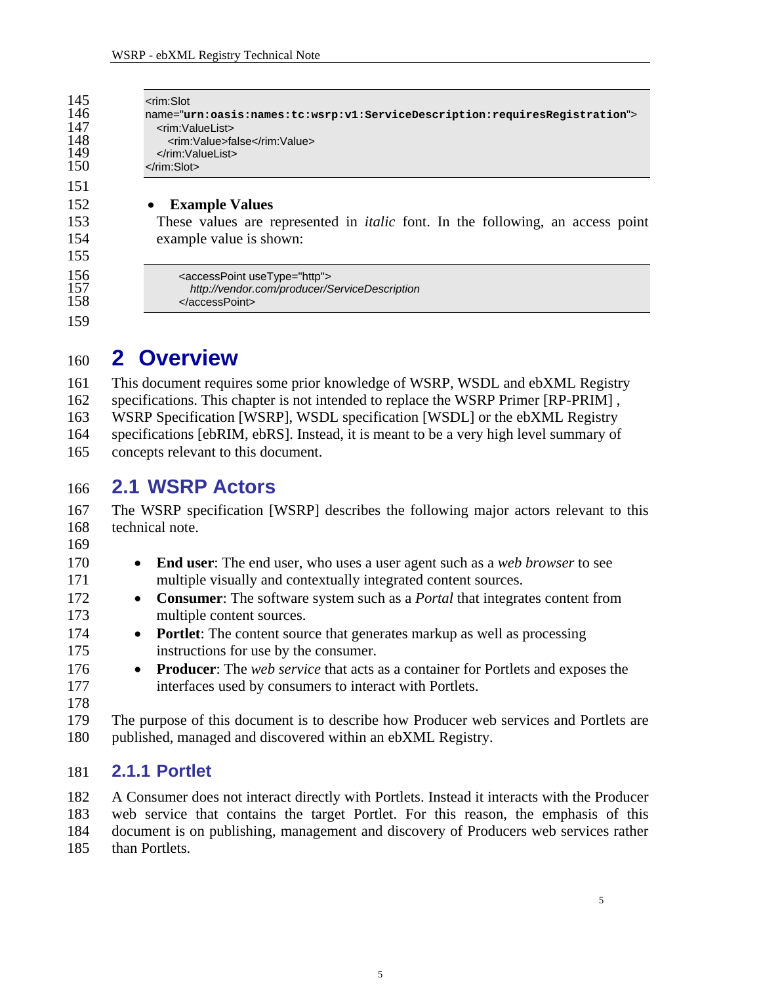<span id="page-4-0"></span>

| 145<br>146<br>147<br>148<br>149<br>150 | $\leq$ rim:Slot<br>name="urn:oasis:names:tc:wsrp:v1:ServiceDescription:requiresRegistration"><br><rim:valuelist><br/><rim:value>false</rim:value><br/><math>\le</math>/rim:ValueList&gt;<br/><math>\langle</math>rim:Slot<math>&gt;</math></rim:valuelist> |
|----------------------------------------|------------------------------------------------------------------------------------------------------------------------------------------------------------------------------------------------------------------------------------------------------------|
| 151                                    |                                                                                                                                                                                                                                                            |
| 152                                    | <b>Example Values</b>                                                                                                                                                                                                                                      |
| 153                                    | These values are represented in <i>italic</i> font. In the following, an access point                                                                                                                                                                      |
| 154                                    | example value is shown:                                                                                                                                                                                                                                    |
| 155                                    |                                                                                                                                                                                                                                                            |
| 156<br>157<br>158                      | <accesspoint usetype="http"><br/>http://vendor.com/producer/ServiceDescription<br/></accesspoint>                                                                                                                                                          |
| 159                                    |                                                                                                                                                                                                                                                            |

## 160 **2 Overview**

161 162 163 164 165 This document requires some prior knowledge of WSRP, WSDL and ebXML Registry specifications. This chapter is not intended to replace the WSRP Primer [RP-PRIM] , WSRP Specification [WSRP], WSDL specification [WSDL] or the ebXML Registry specifications [ebRIM, ebRS]. Instead, it is meant to be a very high level summary of concepts relevant to this document.

#### 166 **2.1 WSRP Actors**

167 168 The WSRP specification [WSRP] describes the following major actors relevant to this technical note.

169 170

- **End user**: The end user, who uses a user agent such as a *web browser* to see multiple visually and contextually integrated content sources.
	- **Consumer**: The software system such as a *Portal* that integrates content from multiple content sources.
	- **Portlet**: The content source that generates markup as well as processing instructions for use by the consumer.
- **Producer**: The *web service* that acts as a container for Portlets and exposes the interfaces used by consumers to interact with Portlets.
- 177 178
- 179 180 The purpose of this document is to describe how Producer web services and Portlets are published, managed and discovered within an ebXML Registry.

#### 181 **2.1.1 Portlet**

182 183 184 185 A Consumer does not interact directly with Portlets. Instead it interacts with the Producer web service that contains the target Portlet. For this reason, the emphasis of this document is on publishing, management and discovery of Producers web services rather than Portlets.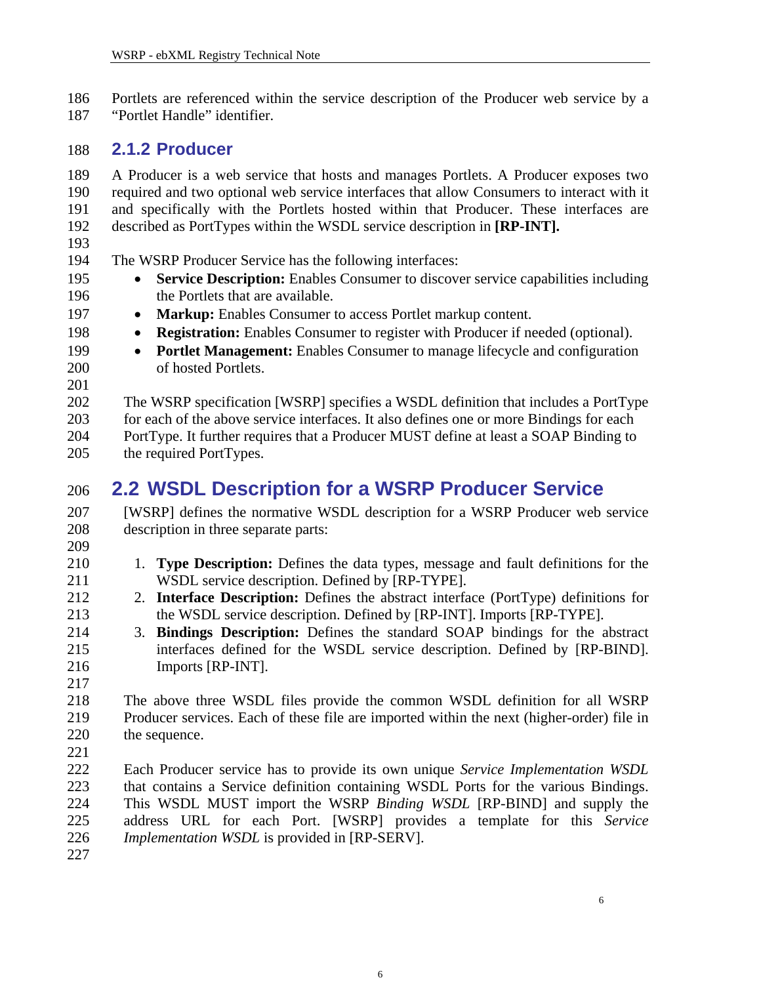<span id="page-5-0"></span>186 187 Portlets are referenced within the service description of the Producer web service by a "Portlet Handle" identifier.

#### 188 **2.1.2 Producer**

189 190 191 192 A Producer is a web service that hosts and manages Portlets. A Producer exposes two required and two optional web service interfaces that allow Consumers to interact with it and specifically with the Portlets hosted within that Producer. These interfaces are described as PortTypes within the WSDL service description in **[RP-INT].**

# 193

194 The WSRP Producer Service has the following interfaces:

- **Service Description:** Enables Consumer to discover service capabilities including the Portlets that are available.
	- Markup: Enables Consumer to access Portlet markup content.
- **Registration:** Enables Consumer to register with Producer if needed (optional).
	- **Portlet Management:** Enables Consumer to manage lifecycle and configuration of hosted Portlets.
- 202 203 204 The WSRP specification [WSRP] specifies a WSDL definition that includes a PortType for each of the above service interfaces. It also defines one or more Bindings for each PortType. It further requires that a Producer MUST define at least a SOAP Binding to
- 205 the required PortTypes.

#### 206 **2.2 WSDL Description for a WSRP Producer Service**

207 208 209 [WSRP] defines the normative WSDL description for a WSRP Producer web service description in three separate parts:

- 1. **Type Description:** Defines the data types, message and fault definitions for the WSDL service description. Defined by [RP-TYPE].
	- 2. **Interface Description:** Defines the abstract interface (PortType) definitions for the WSDL service description. Defined by [RP-INT]. Imports [RP-TYPE].
- 214 215 216 3. **Bindings Description:** Defines the standard SOAP bindings for the abstract interfaces defined for the WSDL service description. Defined by [RP-BIND]. Imports [RP-INT].
- 217

218 219 220 221 The above three WSDL files provide the common WSDL definition for all WSRP Producer services. Each of these file are imported within the next (higher-order) file in the sequence.

- 222 223 224 225 226 Each Producer service has to provide its own unique *Service Implementation WSDL* that contains a Service definition containing WSDL Ports for the various Bindings. This WSDL MUST import the WSRP *Binding WSDL* [RP-BIND] and supply the address URL for each Port. [WSRP] provides a template for this *Service Implementation WSDL* is provided in [RP-SERV].
- 227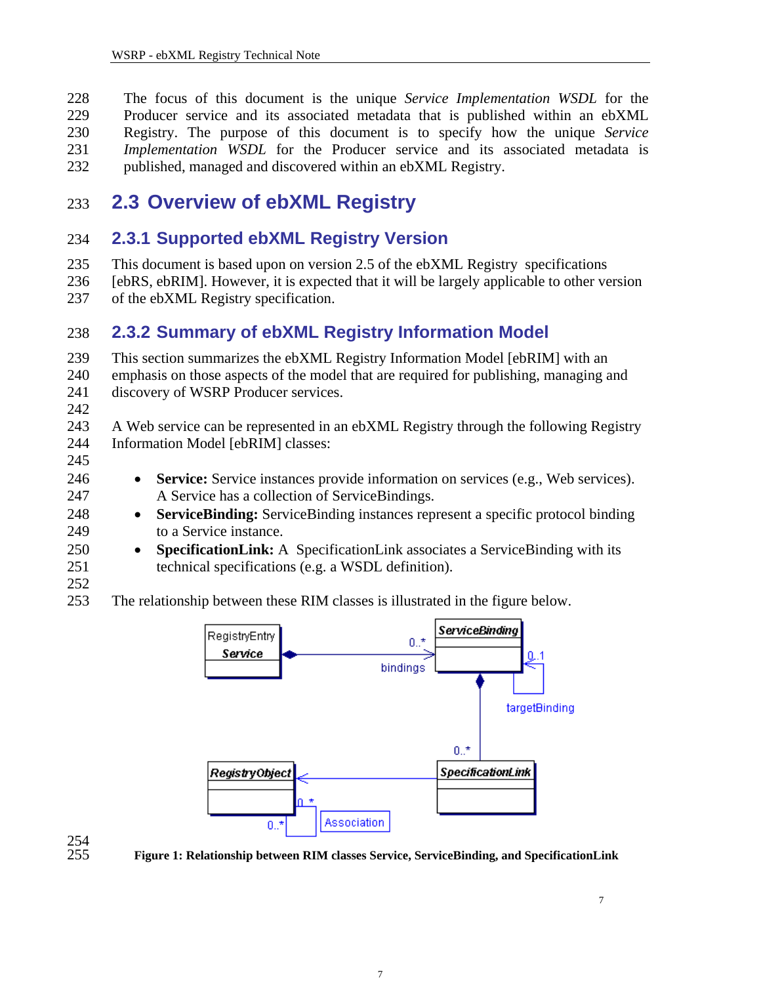<span id="page-6-0"></span>228 229 230 231 232 The focus of this document is the unique *Service Implementation WSDL* for the Producer service and its associated metadata that is published within an ebXML Registry. The purpose of this document is to specify how the unique *Service Implementation WSDL* for the Producer service and its associated metadata is published, managed and discovered within an ebXML Registry.

#### 233 **2.3 Overview of ebXML Registry**

#### 234 **2.3.1 Supported ebXML Registry Version**

235 This document is based upon on version 2.5 of the ebXML Registry specifications

236 237 [ebRS, ebRIM]. However, it is expected that it will be largely applicable to other version of the ebXML Registry specification.

#### 238 **2.3.2 Summary of ebXML Registry Information Model**

239 240 241 This section summarizes the ebXML Registry Information Model [ebRIM] with an emphasis on those aspects of the model that are required for publishing, managing and discovery of WSRP Producer services.

242

243 244 A Web service can be represented in an ebXML Registry through the following Registry Information Model [ebRIM] classes:

245 246

247 248 249

- **Service:** Service instances provide information on services (e.g., Web services). A Service has a collection of ServiceBindings.
- **ServiceBinding:** ServiceBinding instances represent a specific protocol binding to a Service instance.
- 250 251 252 • **SpecificationLink:** A SpecificationLink associates a ServiceBinding with its technical specifications (e.g. a WSDL definition).
- 253 The relationship between these RIM classes is illustrated in the figure below.



254<br>255

255 **Figure 1: Relationship between RIM classes Service, ServiceBinding, and SpecificationLink**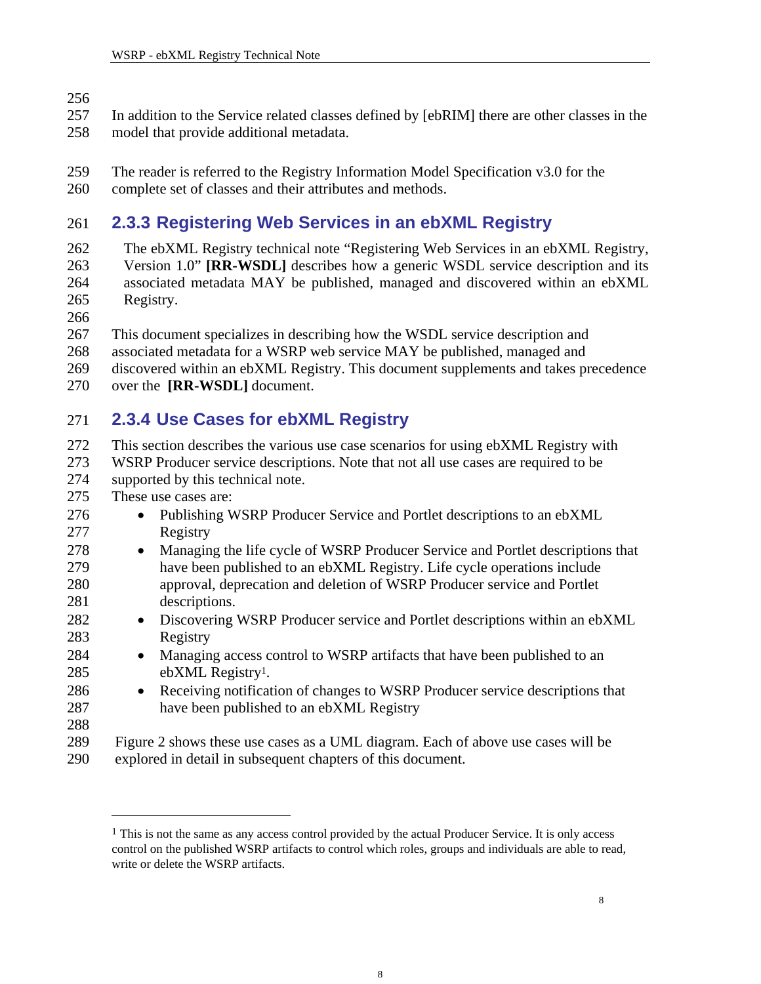# <span id="page-7-0"></span>256

257 258 In addition to the Service related classes defined by [ebRIM] there are other classes in the model that provide additional metadata.

259 The reader is referred to the Registry Information Model Specification v3.0 for the

260 complete set of classes and their attributes and methods.

#### 261 **2.3.3 Registering Web Services in an ebXML Registry**

262 263 264 265 The ebXML Registry technical note "Registering Web Services in an ebXML Registry, Version 1.0" **[RR-WSDL]** describes how a generic WSDL service description and its associated metadata MAY be published, managed and discovered within an ebXML Registry.

266

267 This document specializes in describing how the WSDL service description and

- 268 associated metadata for a WSRP web service MAY be published, managed and
- 269 discovered within an ebXML Registry. This document supplements and takes precedence
- 270 over the **[RR-WSDL]** document.

#### 271 **2.3.4 Use Cases for ebXML Registry**

272 This section describes the various use case scenarios for using ebXML Registry with

273 274 WSRP Producer service descriptions. Note that not all use cases are required to be supported by this technical note.

275 These use cases are:

- 276 277 278 279 280 281 282 • Publishing WSRP Producer Service and Portlet descriptions to an ebXML Registry • Managing the life cycle of WSRP Producer Service and Portlet descriptions that have been published to an ebXML Registry. Life cycle operations include approval, deprecation and deletion of WSRP Producer service and Portlet descriptions.
	- Discovering WSRP Producer service and Portlet descriptions within an ebXML Registry
	- Managing access control to WSRP artifacts that have been published to an ebXML Registry[1.](#page-7-1)
- 286 287 • Receiving notification of changes to WSRP Producer service descriptions that have been published to an ebXML Registry
- 288

<u>.</u>

283 284 285

289 290 [Figure 2](#page-8-1) shows these use cases as a UML diagram. Each of above use cases will be explored in detail in subsequent chapters of this document.

<span id="page-7-1"></span><sup>&</sup>lt;sup>1</sup> This is not the same as any access control provided by the actual Producer Service. It is only access control on the published WSRP artifacts to control which roles, groups and individuals are able to read, write or delete the WSRP artifacts.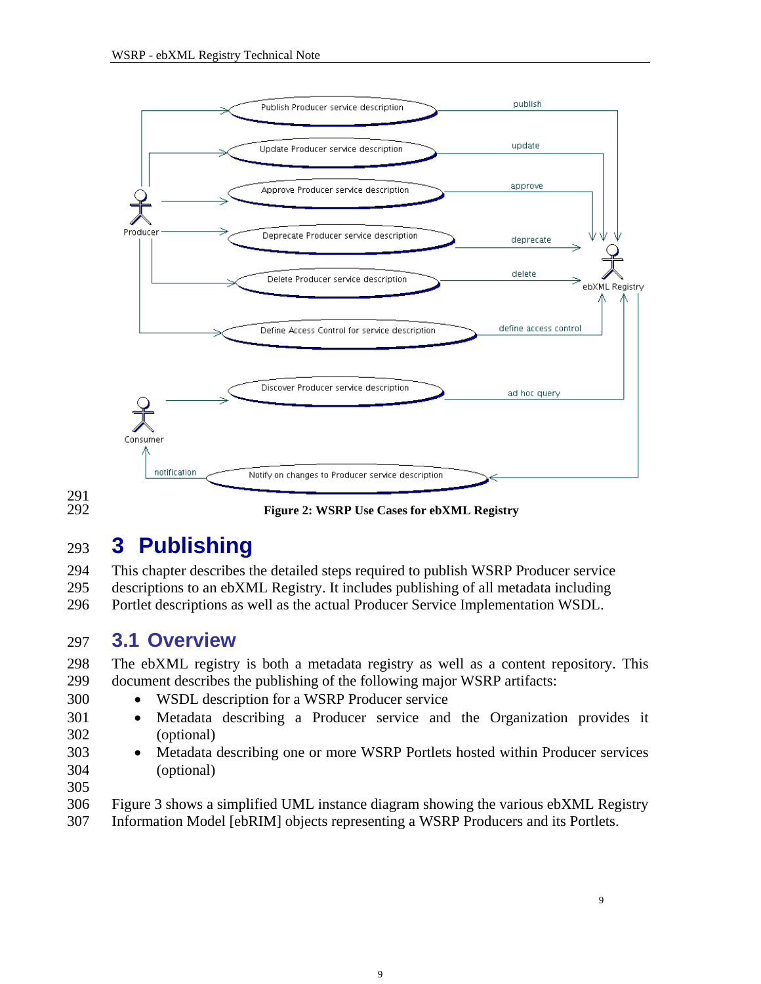<span id="page-8-1"></span><span id="page-8-0"></span>

291 292

**Figure 2: WSRP Use Cases for ebXML Registry**

## 293 **3 Publishing**

294 295 296 This chapter describes the detailed steps required to publish WSRP Producer service descriptions to an ebXML Registry. It includes publishing of all metadata including Portlet descriptions as well as the actual Producer Service Implementation WSDL.

#### 297 **3.1 Overview**

298 299 The ebXML registry is both a metadata registry as well as a content repository. This document describes the publishing of the following major WSRP artifacts:

- WSDL description for a WSRP Producer service
- Metadata describing a Producer service and the Organization provides it (optional)
- 302 303 304

300 301

- Metadata describing one or more WSRP Portlets hosted within Producer services (optional)
- 305
- 306 [Figure 3](#page-9-1) shows a simplified UML instance diagram showing the various ebXML Registry
- 307 Information Model [ebRIM] objects representing a WSRP Producers and its Portlets.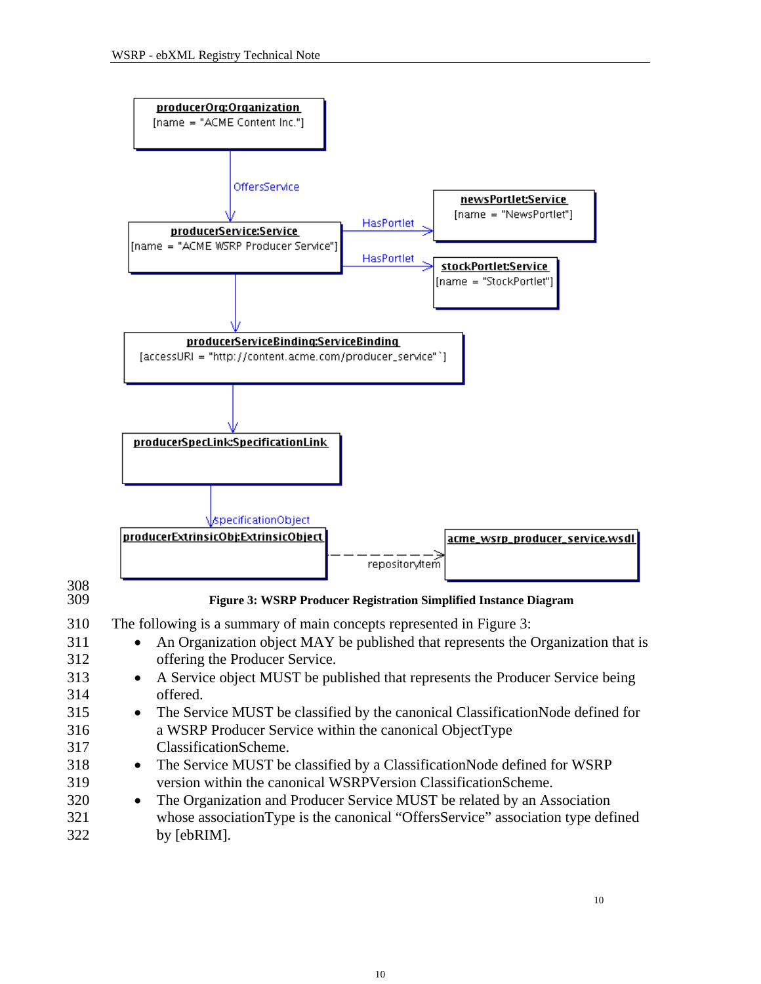<span id="page-9-1"></span><span id="page-9-0"></span>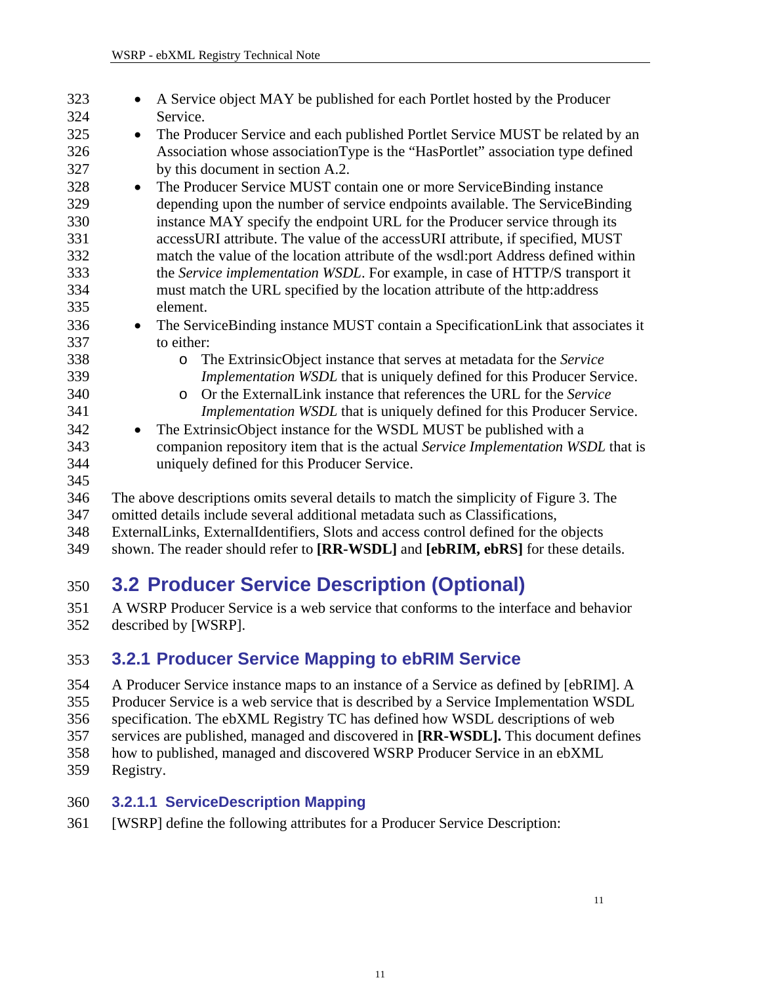<span id="page-10-0"></span>

| 323 | A Service object MAY be published for each Portlet hosted by the Producer                    |
|-----|----------------------------------------------------------------------------------------------|
| 324 | Service.                                                                                     |
| 325 | The Producer Service and each published Portlet Service MUST be related by an<br>$\bullet$   |
| 326 | Association whose association Type is the "HasPortlet" association type defined              |
| 327 | by this document in section A.2.                                                             |
| 328 | The Producer Service MUST contain one or more ServiceBinding instance<br>$\bullet$           |
| 329 | depending upon the number of service endpoints available. The ServiceBinding                 |
| 330 | instance MAY specify the endpoint URL for the Producer service through its                   |
| 331 | accessURI attribute. The value of the accessURI attribute, if specified, MUST                |
| 332 | match the value of the location attribute of the wsdl:port Address defined within            |
| 333 | the Service implementation WSDL. For example, in case of HTTP/S transport it                 |
| 334 | must match the URL specified by the location attribute of the http:address                   |
| 335 | element.                                                                                     |
| 336 | The ServiceBinding instance MUST contain a SpecificationLink that associates it<br>$\bullet$ |
| 337 | to either:                                                                                   |
| 338 | The ExtrinsicObject instance that serves at metadata for the Service<br>$\circ$              |
| 339 | Implementation WSDL that is uniquely defined for this Producer Service.                      |
| 340 | Or the External Link instance that references the URL for the Service<br>$\circ$             |
| 341 | <i>Implementation WSDL</i> that is uniquely defined for this Producer Service.               |
| 342 | The ExtrinsicObject instance for the WSDL MUST be published with a<br>$\bullet$              |
| 343 | companion repository item that is the actual Service Implementation WSDL that is             |
| 344 | uniquely defined for this Producer Service.                                                  |
| 345 |                                                                                              |
| 346 | The above descriptions omits several details to match the simplicity of Figure 3. The        |
| 347 | omitted details include several additional metadata such as Classifications,                 |
| 348 | ExternalLinks, ExternalIdentifiers, Slots and access control defined for the objects         |
| 349 | shown. The reader should refer to [RR-WSDL] and [ebRIM, ebRS] for these details.             |

### 350 **3.2 Producer Service Description (Optional)**

351 352 A WSRP Producer Service is a web service that conforms to the interface and behavior described by [WSRP].

#### 353 **3.2.1 Producer Service Mapping to ebRIM Service**

- 354 355 A Producer Service instance maps to an instance of a Service as defined by [ebRIM]. A Producer Service is a web service that is described by a Service Implementation WSDL
- 356 specification. The ebXML Registry TC has defined how WSDL descriptions of web
- 357 services are published, managed and discovered in **[RR-WSDL].** This document defines
- 358 how to published, managed and discovered WSRP Producer Service in an ebXML
- 359 Registry.

#### 360 **3.2.1.1 ServiceDescription Mapping**

361 [WSRP] define the following attributes for a Producer Service Description: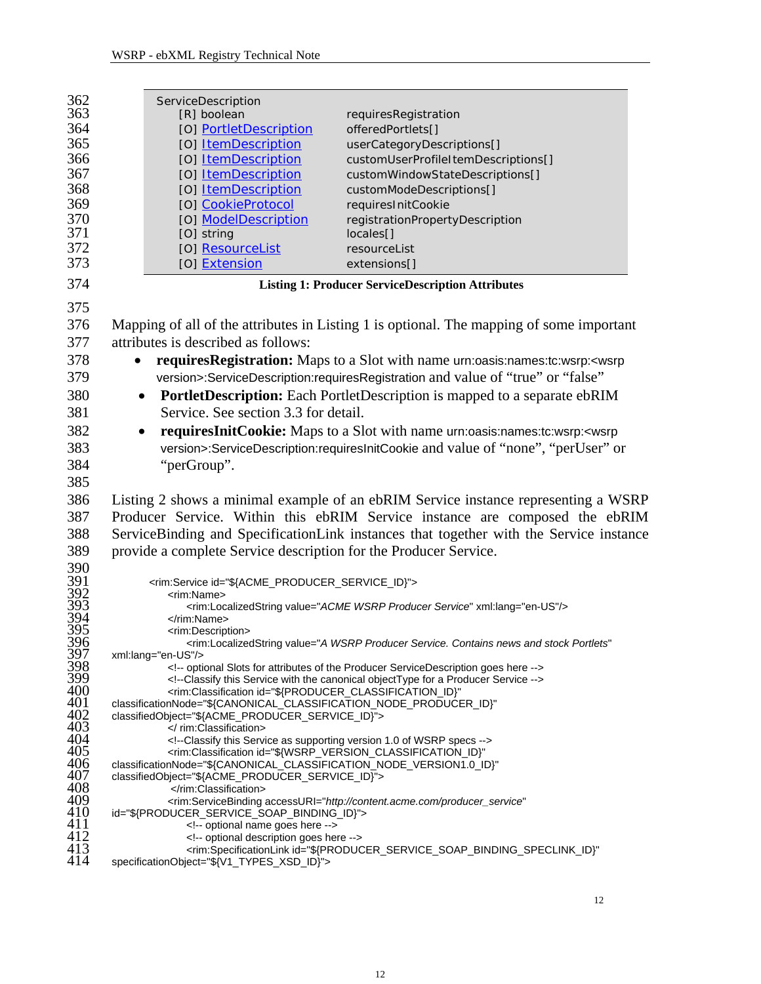<span id="page-11-1"></span><span id="page-11-0"></span>

| 362            | ServiceDescription                                                                                                                                                                  |                                                                                                                          |
|----------------|-------------------------------------------------------------------------------------------------------------------------------------------------------------------------------------|--------------------------------------------------------------------------------------------------------------------------|
| 363            | [R] boolean                                                                                                                                                                         | requiresRegistration                                                                                                     |
| 364            | [O] PortletDescription                                                                                                                                                              | offeredPortlets[]                                                                                                        |
| 365            | [O] ItemDescription                                                                                                                                                                 | userCategoryDescriptions[]                                                                                               |
| 366            | [O] ItemDescription                                                                                                                                                                 | customUserProfileItemDescriptions[]                                                                                      |
| 367            | [O] ItemDescription                                                                                                                                                                 | customWindowStateDescriptions[]                                                                                          |
| 368            | [O] ItemDescription                                                                                                                                                                 | customModeDescriptions[]                                                                                                 |
| 369            | [O] CookieProtocol                                                                                                                                                                  | requiresInitCookie                                                                                                       |
| 370            | [O] ModelDescription                                                                                                                                                                | registrationPropertyDescription                                                                                          |
| 371            | [O] string                                                                                                                                                                          | locales[]                                                                                                                |
| 372            | [O] ResourceList                                                                                                                                                                    | resourceList                                                                                                             |
| 373            | [O] Extension                                                                                                                                                                       | extensions[]                                                                                                             |
| 374            |                                                                                                                                                                                     | <b>Listing 1: Producer ServiceDescription Attributes</b>                                                                 |
| 375            |                                                                                                                                                                                     |                                                                                                                          |
| 376            |                                                                                                                                                                                     | Mapping of all of the attributes in Listing 1 is optional. The mapping of some important                                 |
| 377            | attributes is described as follows:                                                                                                                                                 |                                                                                                                          |
| 378            | $\bullet$                                                                                                                                                                           | requires Registration: Maps to a Slot with name urn:oasis:names:tc:wsrp: <wsrp< td=""></wsrp<>                           |
| 379            |                                                                                                                                                                                     | version>:ServiceDescription:requiresRegistration and value of "true" or "false"                                          |
| 380            | $\bullet$                                                                                                                                                                           | PortletDescription: Each PortletDescription is mapped to a separate ebRIM                                                |
| 381            | Service. See section 3.3 for detail.                                                                                                                                                |                                                                                                                          |
| 382            | $\bullet$                                                                                                                                                                           | requiresInitCookie: Maps to a Slot with name urn:oasis:names:tc:wsrp: <wsrp< td=""></wsrp<>                              |
| 383            |                                                                                                                                                                                     | version>:ServiceDescription:requiresInitCookie and value of "none", "perUser" or                                         |
| 384            | "perGroup".                                                                                                                                                                         |                                                                                                                          |
| 385            |                                                                                                                                                                                     |                                                                                                                          |
| 386            |                                                                                                                                                                                     | Listing 2 shows a minimal example of an ebRIM Service instance representing a WSRP                                       |
| 387            |                                                                                                                                                                                     | Producer Service. Within this ebRIM Service instance are composed the ebRIM                                              |
| 388            |                                                                                                                                                                                     | ServiceBinding and SpecificationLink instances that together with the Service instance                                   |
| 389            | provide a complete Service description for the Producer Service.                                                                                                                    |                                                                                                                          |
| 390            |                                                                                                                                                                                     |                                                                                                                          |
| 391<br>392     | <rim:service id="\${ACME_PRODUCER_SERVICE_ID}"></rim:service>                                                                                                                       |                                                                                                                          |
|                | <rim:name></rim:name>                                                                                                                                                               |                                                                                                                          |
| 393<br>394     |                                                                                                                                                                                     | <rim:localizedstring value="ACME WSRP Producer Service" xml:lang="en-US"></rim:localizedstring>                          |
| 395            | <br><rim:description></rim:description>                                                                                                                                             |                                                                                                                          |
| 396            |                                                                                                                                                                                     | <rim:localizedstring <="" td="" value="A WSRP Producer Service. Contains news and stock Portlets"></rim:localizedstring> |
| 397            | xml:lang="en-US"/>                                                                                                                                                                  |                                                                                                                          |
| 398<br>399     |                                                                                                                                                                                     | optional Slots for attributes of the Producer ServiceDescription goes here                                               |
| 400            | <rim:classification <="" id="\${PRODUCER_CLASSIFICATION_ID}" td=""><td><!--Classify this Service with the canonical objectType for a Producer Service --></td></rim:classification> | Classify this Service with the canonical objectType for a Producer Service                                               |
| 401            | classificationNode="\${CANONICAL_CLASSIFICATION_NODE_PRODUCER_ID}"                                                                                                                  |                                                                                                                          |
| 402            | classifiedObject="\${ACME_PRODUCER_SERVICE_ID}">                                                                                                                                    |                                                                                                                          |
| 403<br>404     |                                                                                                                                                                                     |                                                                                                                          |
| 405            | Classify this Service as supporting version 1.0 of WSRP specs<br><rim:classification <="" id="\${WSRP_VERSION_CLASSIFICATION_ID}" td=""><td></td></rim:classification>              |                                                                                                                          |
| 406            | classificationNode="\${CANONICAL_CLASSIFICATION_NODE_VERSION1.0_ID}"                                                                                                                |                                                                                                                          |
| 407            | classifiedObject="\${ACME_PRODUCER_SERVICE_ID}">                                                                                                                                    |                                                                                                                          |
| 408            |                                                                                                                                                                                     |                                                                                                                          |
| 409<br>410     | id="\${PRODUCER_SERVICE_SOAP_BINDING_ID}">                                                                                                                                          | <rim:servicebinding <="" accessuri="http://content.acme.com/producer_service" td=""></rim:servicebinding>                |
| $^{411}_{412}$ | optional name goes here                                                                                                                                                             |                                                                                                                          |
|                | optional description goes here                                                                                                                                                      |                                                                                                                          |
| 413<br>414     | specificationObject="\${V1_TYPES_XSD_ID}">                                                                                                                                          | <rim:specificationlink <="" id="\${PRODUCER_SERVICE_SOAP_BINDING_SPECLINK_ID}" td=""></rim:specificationlink>            |
|                |                                                                                                                                                                                     |                                                                                                                          |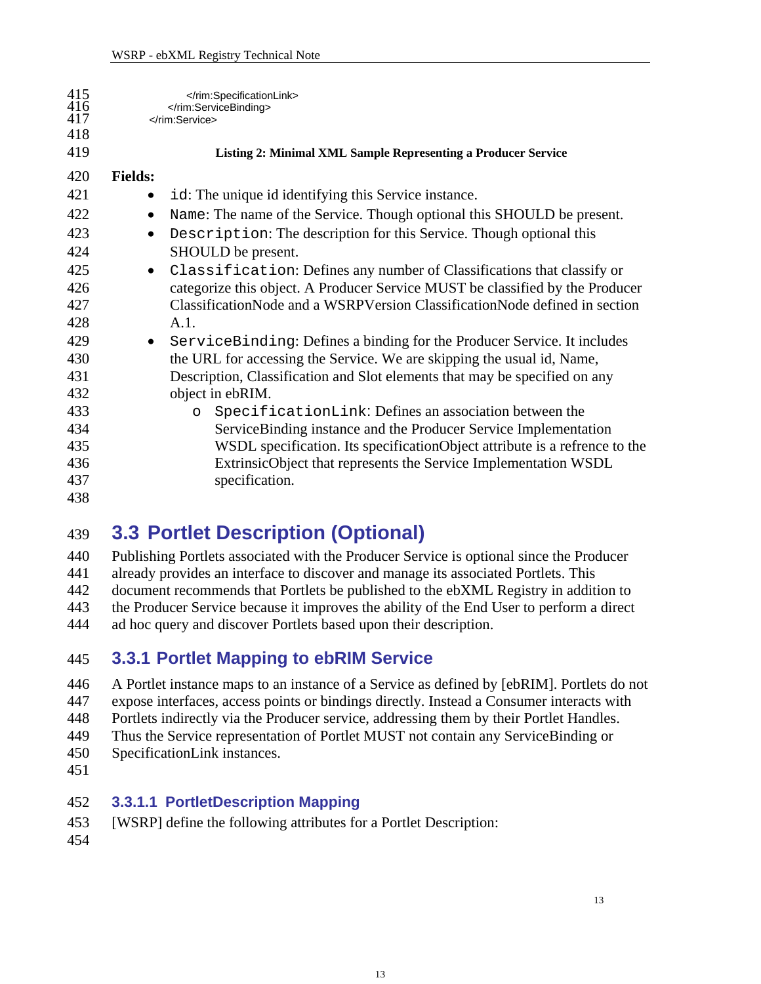<span id="page-12-2"></span><span id="page-12-0"></span>

| 415<br>$\frac{416}{417}$ |                | <br><br>                                                                      |
|--------------------------|----------------|-------------------------------------------------------------------------------|
| 418                      |                |                                                                               |
| 419                      |                | Listing 2: Minimal XML Sample Representing a Producer Service                 |
| 420                      | <b>Fields:</b> |                                                                               |
| 421                      |                | id: The unique id identifying this Service instance.                          |
| 422                      |                | Name: The name of the Service. Though optional this SHOULD be present.        |
| 423                      | $\bullet$      | Description: The description for this Service. Though optional this           |
| 424                      |                | SHOULD be present.                                                            |
| 425                      |                | Classification: Defines any number of Classifications that classify or        |
| 426                      |                | categorize this object. A Producer Service MUST be classified by the Producer |
| 427                      |                | ClassificationNode and a WSRPVersion ClassificationNode defined in section    |
| 428                      |                | A.1.                                                                          |
| 429                      | $\bullet$      | ServiceBinding: Defines a binding for the Producer Service. It includes       |
| 430                      |                | the URL for accessing the Service. We are skipping the usual id, Name,        |
| 431                      |                | Description, Classification and Slot elements that may be specified on any    |
| 432                      |                | object in ebRIM.                                                              |
| 433                      |                | SpecificationLink: Defines an association between the<br>$\circ$              |
| 434                      |                | ServiceBinding instance and the Producer Service Implementation               |
| 435                      |                | WSDL specification. Its specificationObject attribute is a refrence to the    |
| 436                      |                | ExtrinsicObject that represents the Service Implementation WSDL               |
| 437                      |                | specification.                                                                |
| 438                      |                |                                                                               |

### <span id="page-12-1"></span>439 **3.3 Portlet Description (Optional)**

440 441 442 443 444 Publishing Portlets associated with the Producer Service is optional since the Producer already provides an interface to discover and manage its associated Portlets. This document recommends that Portlets be published to the ebXML Registry in addition to the Producer Service because it improves the ability of the End User to perform a direct ad hoc query and discover Portlets based upon their description.

#### 445 **3.3.1 Portlet Mapping to ebRIM Service**

446 447 448 449 A Portlet instance maps to an instance of a Service as defined by [ebRIM]. Portlets do not expose interfaces, access points or bindings directly. Instead a Consumer interacts with Portlets indirectly via the Producer service, addressing them by their Portlet Handles. Thus the Service representation of Portlet MUST not contain any ServiceBinding or

- 450 SpecificationLink instances.
- 451

#### 452 **3.3.1.1 PortletDescription Mapping**

- 453 [WSRP] define the following attributes for a Portlet Description:
- 454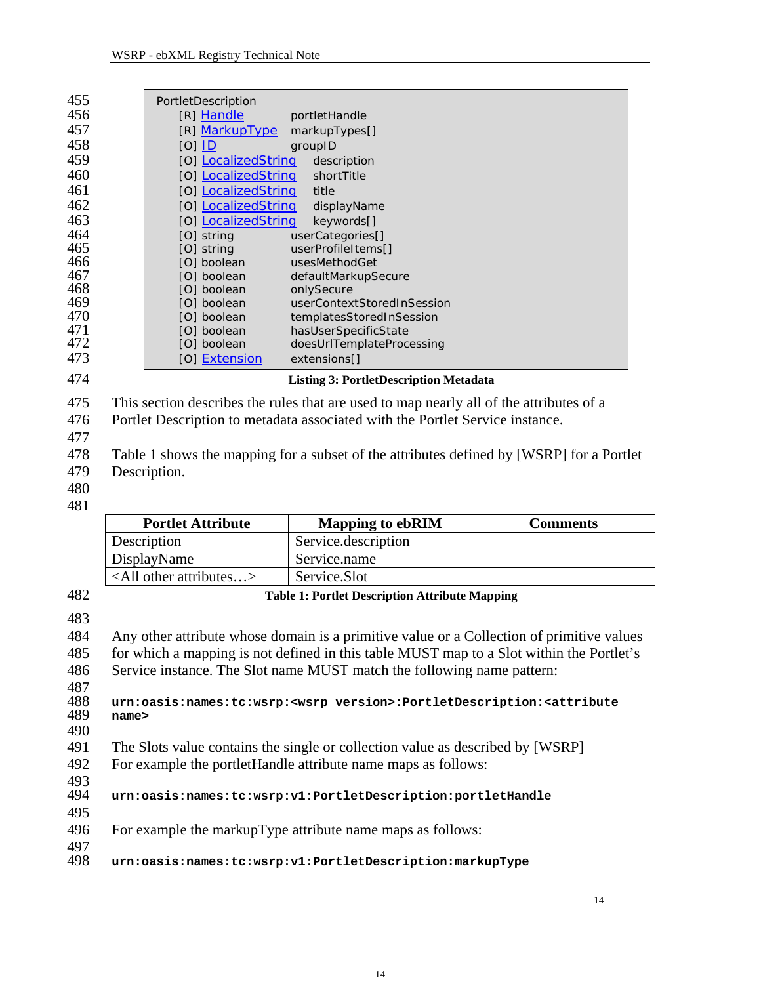<span id="page-13-1"></span><span id="page-13-0"></span>

| 455        |       | PortletDescription                 |                                                                                                               |                 |
|------------|-------|------------------------------------|---------------------------------------------------------------------------------------------------------------|-----------------|
| 456        |       | [R] Handle                         | portletHandle                                                                                                 |                 |
| 457        |       | [R] MarkupType                     | markupTypes[]                                                                                                 |                 |
| 458        |       | $[O]$ $ID$                         | groupID                                                                                                       |                 |
| 459        |       | [O] LocalizedString                | description                                                                                                   |                 |
| 460        |       | [O] LocalizedString                | shortTitle                                                                                                    |                 |
| 461        |       | [O] LocalizedString                | title                                                                                                         |                 |
| 462        |       | [O] LocalizedString                | displayName                                                                                                   |                 |
| 463        |       | [O] LocalizedString                | keywords[]                                                                                                    |                 |
| 464        |       | [O] string                         | userCategories[]                                                                                              |                 |
| 465        |       | [O] string                         | userProfileItems[]                                                                                            |                 |
| 466        |       | [O] boolean                        | usesMethodGet                                                                                                 |                 |
| 467        |       | [O] boolean                        | defaultMarkupSecure                                                                                           |                 |
| 468        |       | [O] boolean                        | onlySecure                                                                                                    |                 |
| 469        |       | [O] boolean                        | userContextStoredInSession                                                                                    |                 |
| 470<br>471 |       | [O] boolean<br>[O] boolean         | templatesStoredInSession<br>hasUserSpecificState                                                              |                 |
| 472        |       | [O] boolean                        | doesUrlTemplateProcessing                                                                                     |                 |
| 473        |       | [O] Extension                      | extensions[]                                                                                                  |                 |
|            |       |                                    |                                                                                                               |                 |
| 474        |       |                                    | <b>Listing 3: PortletDescription Metadata</b>                                                                 |                 |
| 475        |       |                                    | This section describes the rules that are used to map nearly all of the attributes of a                       |                 |
| 476        |       |                                    | Portlet Description to metadata associated with the Portlet Service instance.                                 |                 |
| 477        |       |                                    |                                                                                                               |                 |
|            |       |                                    | Table 1 shows the mapping for a subset of the attributes defined by [WSRP] for a Portlet                      |                 |
|            |       |                                    |                                                                                                               |                 |
| 478        |       |                                    |                                                                                                               |                 |
| 479        |       | Description.                       |                                                                                                               |                 |
| 480        |       |                                    |                                                                                                               |                 |
| 481        |       |                                    |                                                                                                               |                 |
|            |       | <b>Portlet Attribute</b>           | <b>Mapping to ebRIM</b>                                                                                       | <b>Comments</b> |
|            |       | Description                        | Service.description                                                                                           |                 |
|            |       | DisplayName                        | Service.name                                                                                                  |                 |
|            |       | <all attributes="" other=""></all> | Service.Slot                                                                                                  |                 |
| 482        |       |                                    | <b>Table 1: Portlet Description Attribute Mapping</b>                                                         |                 |
| 483        |       |                                    |                                                                                                               |                 |
| 484        |       |                                    | Any other attribute whose domain is a primitive value or a Collection of primitive values                     |                 |
| 485        |       |                                    | for which a mapping is not defined in this table MUST map to a Slot within the Portlet's                      |                 |
|            |       |                                    |                                                                                                               |                 |
| 486        |       |                                    | Service instance. The Slot name MUST match the following name pattern:                                        |                 |
| 487        |       |                                    |                                                                                                               |                 |
| 488        | name> |                                    | urn:oasis:names:tc:wsrp: <wsrp version="">:PortletDescription:<attribute< th=""><th></th></attribute<></wsrp> |                 |
| 489        |       |                                    |                                                                                                               |                 |
| 490        |       |                                    |                                                                                                               |                 |
| 491        |       |                                    | The Slots value contains the single or collection value as described by [WSRP]                                |                 |
| 492        |       |                                    | For example the portletHandle attribute name maps as follows:                                                 |                 |
| 493        |       |                                    |                                                                                                               |                 |
| 494        |       |                                    | urn:oasis:names:tc:wsrp:v1:PortletDescription:portletHandle                                                   |                 |
| 495        |       |                                    |                                                                                                               |                 |
| 496        |       |                                    | For example the markupType attribute name maps as follows:                                                    |                 |
| 497<br>498 |       |                                    | urn:oasis:names:tc:wsrp:v1:PortletDescription:markupType                                                      |                 |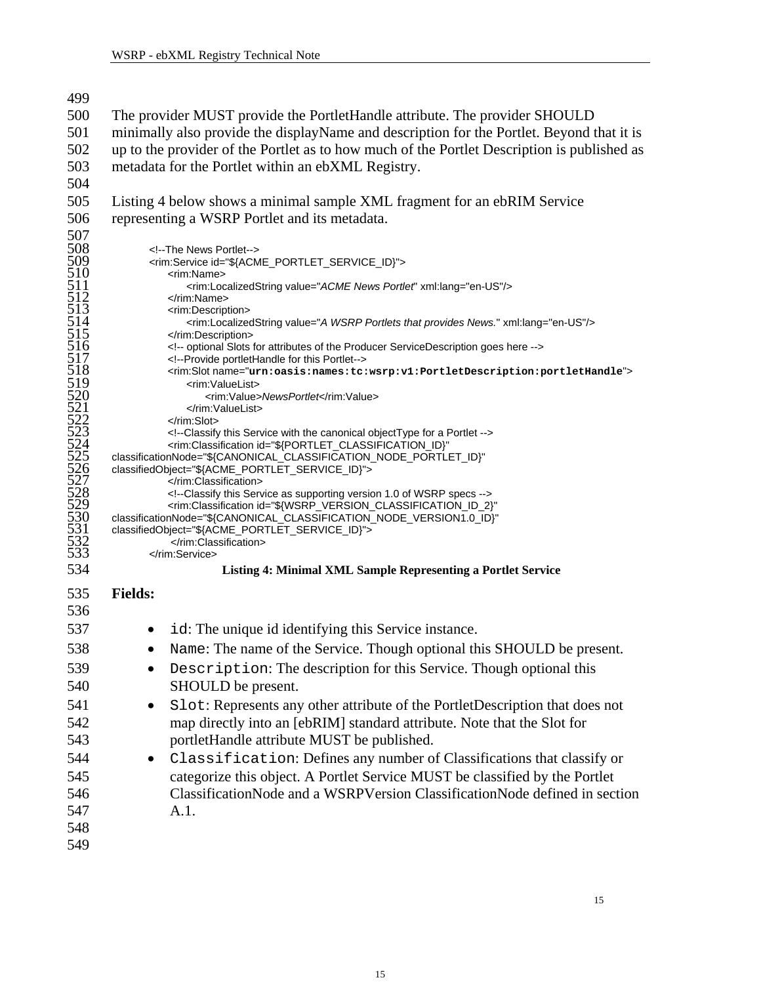<span id="page-14-1"></span><span id="page-14-0"></span>

| 499                                           |                                                                                                                                                                                                     |  |  |  |
|-----------------------------------------------|-----------------------------------------------------------------------------------------------------------------------------------------------------------------------------------------------------|--|--|--|
| 500                                           | The provider MUST provide the PortletHandle attribute. The provider SHOULD                                                                                                                          |  |  |  |
| 501                                           | minimally also provide the displayName and description for the Portlet. Beyond that it is                                                                                                           |  |  |  |
| 502                                           | up to the provider of the Portlet as to how much of the Portlet Description is published as                                                                                                         |  |  |  |
| 503                                           | metadata for the Portlet within an ebXML Registry.                                                                                                                                                  |  |  |  |
| 504                                           |                                                                                                                                                                                                     |  |  |  |
| 505                                           | Listing 4 below shows a minimal sample XML fragment for an ebRIM Service                                                                                                                            |  |  |  |
| 506                                           | representing a WSRP Portlet and its metadata.                                                                                                                                                       |  |  |  |
| 507                                           |                                                                                                                                                                                                     |  |  |  |
|                                               | The News Portlet                                                                                                                                                                                    |  |  |  |
|                                               | <rim:service id="\${ACME_PORTLET_SERVICE_ID}"><br/><rim:name></rim:name></rim:service>                                                                                                              |  |  |  |
|                                               | <rim:localizedstring value="ACME News Portlet" xml:lang="en-US"></rim:localizedstring>                                                                                                              |  |  |  |
|                                               |                                                                                                                                                                                                     |  |  |  |
| 508<br>509<br>510<br>511<br>512<br>513<br>514 | <rim:description><br/><rim:localizedstring value="A WSRP Portlets that provides News." xml:lang="en-US"></rim:localizedstring></rim:description>                                                    |  |  |  |
| 515                                           |                                                                                                                                                                                                     |  |  |  |
|                                               | optional Slots for attributes of the Producer ServiceDescription goes here                                                                                                                          |  |  |  |
| $\frac{516}{517}$<br>$\frac{517}{518}$        | Provide portletHandle for this Portlet<br><rim:slotname="urn:oasis:names:tc:wsrp:v1:portletdescription:portlethandle"></rim:slotname="urn:oasis:names:tc:wsrp:v1:portletdescription:portlethandle"> |  |  |  |
|                                               | <rim:valuelist></rim:valuelist>                                                                                                                                                                     |  |  |  |
|                                               | <rim:value>NewsPortlet</rim:value>                                                                                                                                                                  |  |  |  |
|                                               | <br>                                                                                                                                                                                                |  |  |  |
|                                               | Classify this Service with the canonical object Type for a Portlet                                                                                                                                  |  |  |  |
|                                               | <rim:classification <br="" id="\${PORTLET_CLASSIFICATION_ID}">classificationNode="\${CANONICAL_CLASSIFICATION_NODE_PORTLET_ID}"</rim:classification>                                                |  |  |  |
|                                               | classifiedObject="\${ACME_PORTLET_SERVICE_ID}">                                                                                                                                                     |  |  |  |
|                                               |                                                                                                                                                                                                     |  |  |  |
|                                               | Classify this Service as supporting version 1.0 of WSRP specs<br><rim:classification <="" id="\${WSRP_VERSION_CLASSIFICATION_ID_2}" td=""></rim:classification>                                     |  |  |  |
|                                               | classificationNode="\${CANONICAL_CLASSIFICATION_NODE_VERSION1.0_ID}"                                                                                                                                |  |  |  |
|                                               | classifiedObject="\${ACME_PORTLET_SERVICE_ID}"><br>                                                                                                                                                 |  |  |  |
|                                               |                                                                                                                                                                                                     |  |  |  |
| 534                                           | Listing 4: Minimal XML Sample Representing a Portlet Service                                                                                                                                        |  |  |  |
| 535                                           | <b>Fields:</b>                                                                                                                                                                                      |  |  |  |
| 536                                           |                                                                                                                                                                                                     |  |  |  |
|                                               |                                                                                                                                                                                                     |  |  |  |
| 537                                           | id: The unique id identifying this Service instance.                                                                                                                                                |  |  |  |
| 538                                           | Name: The name of the Service. Though optional this SHOULD be present.                                                                                                                              |  |  |  |
| 539                                           | Description: The description for this Service. Though optional this                                                                                                                                 |  |  |  |
| 540                                           | SHOULD be present.                                                                                                                                                                                  |  |  |  |
| 541                                           | Slot: Represents any other attribute of the PortletDescription that does not                                                                                                                        |  |  |  |
| 542                                           | map directly into an [ebRIM] standard attribute. Note that the Slot for                                                                                                                             |  |  |  |
| 543                                           | portletHandle attribute MUST be published.                                                                                                                                                          |  |  |  |
| 544                                           | Classification: Defines any number of Classifications that classify or                                                                                                                              |  |  |  |
| 545                                           | categorize this object. A Portlet Service MUST be classified by the Portlet                                                                                                                         |  |  |  |
| 546                                           | ClassificationNode and a WSRPVersion ClassificationNode defined in section                                                                                                                          |  |  |  |
| 547                                           | A.1.                                                                                                                                                                                                |  |  |  |
| 548                                           |                                                                                                                                                                                                     |  |  |  |
| 549                                           |                                                                                                                                                                                                     |  |  |  |
|                                               |                                                                                                                                                                                                     |  |  |  |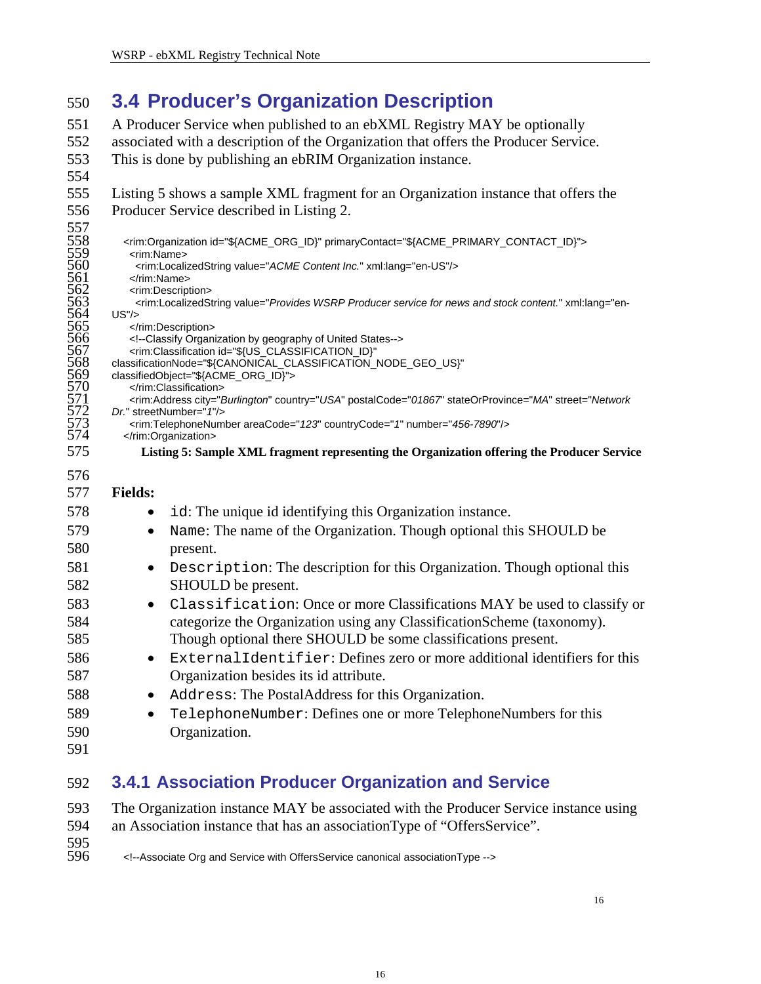#### <span id="page-15-0"></span>550 **3.4 Producer's Organization Description**

- 551 552 A Producer Service when published to an ebXML Registry MAY be optionally associated with a description of the Organization that offers the Producer Service.
- 553 This is done by publishing an ebRIM Organization instance.
- 554
- 555 556 [Listing 5](#page-15-1) shows a sample XML fragment for an Organization instance that offers the Producer Service described in [Listing 2.](#page-12-2)
- 557<br>558<br>559 558 <rim:Organization id="\${ACME\_ORG\_ID}" primaryContact="\${ACME\_PRIMARY\_CONTACT\_ID}"> 559 <rim:Name> 560 <rim:LocalizedString value="*ACME Content Inc.*" xml:lang="en-US"/> </rim:Name> <rim:Description> 563 <rim:LocalizedString value="*Provides WSRP Producer service for news and stock content.*" xml:lang="en- $564$  US"/> </rim:Description> 566 <!--Classify Organization by geography of United States--> <rim:Classification id="\${US\_CLASSIFICATION\_ID}" classificationNode="\${CANONICAL\_CLASSIFICATION\_NODE\_GEO\_US}" classifiedObject="\${ACME\_ORG\_ID}"> 570 </rim:Classification> 571 <rim:Address city="*Burlington*" country="*USA*" postalCode="*01867*" stateOrProvince="*MA*" street="*Network*  572 *Dr.*" streetNumber="*1*"/> 573 <rim:TelephoneNumber areaCode="*123*" countryCode="*1*" number="*456-7890*"/> 574 575 576 577 578 579 580 581 582 583 </rim:Organization> **Listing 5: Sample XML fragment representing the Organization offering the Producer Service Fields:**  id: The unique id identifying this Organization instance. • Name: The name of the Organization. Though optional this SHOULD be present. • Description: The description for this Organization. Though optional this SHOULD be present. • Classification: Once or more Classifications MAY be used to classify or
- <span id="page-15-1"></span>584 585 categorize the Organization using any ClassificationScheme (taxonomy). Though optional there SHOULD be some classifications present.
- 586 587 • ExternalIdentifier: Defines zero or more additional identifiers for this Organization besides its id attribute.
- 588 • Address: The PostalAddress for this Organization.
- 589 590 • TelephoneNumber: Defines one or more TelephoneNumbers for this Organization.
- 591

#### <span id="page-15-2"></span>592 **3.4.1 Association Producer Organization and Service**

- 593 594 595<br>596 The Organization instance MAY be associated with the Producer Service instance using an Association instance that has an associationType of "OffersService".
- 596 <!--Associate Org and Service with OffersService canonical associationType -->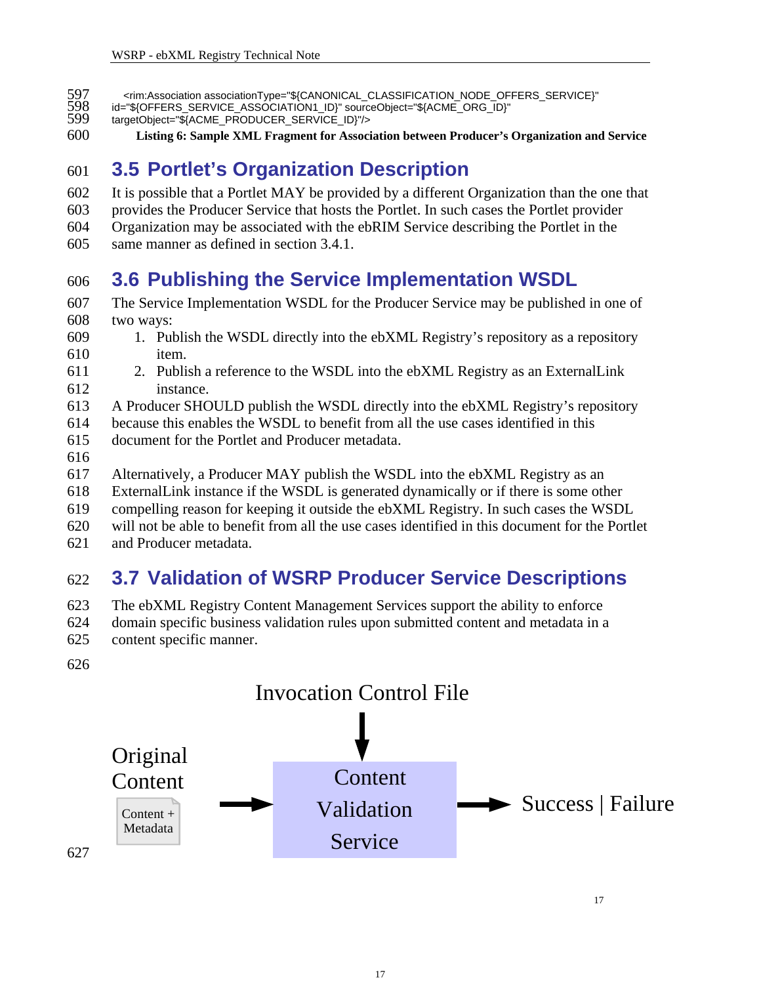- <span id="page-16-0"></span>597 <rim:Association associationType="\${CANONICAL\_CLASSIFICATION\_NODE\_OFFERS\_SERVICE}"<br>598 id="\${OFFERS\_SERVICE\_ASSOCIATION1\_ID}" sourceObject="\${ACME\_ORG\_ID}"<br>599 targetObject="\${ACME\_PRODUCER\_SERVICE\_ID}"/>
	- id="\${OFFERS\_SERVICE\_ASSOCIATION1\_ID}" sourceObject="\${ACME\_ORG\_ID}"
- targetObject="\${ACME\_PRODUCER\_SERVICE\_ID}"/>
- 600 **Listing 6: Sample XML Fragment for Association between Producer's Organization and Service**

## 601 **3.5 Portlet's Organization Description**

- 602 It is possible that a Portlet MAY be provided by a different Organization than the one that
- 603 provides the Producer Service that hosts the Portlet. In such cases the Portlet provider
- 604 Organization may be associated with the ebRIM Service describing the Portlet in the
- 605 same manner as defined in section [3.4.1.](#page-15-2)

### 606 **3.6 Publishing the Service Implementation WSDL**

- 607 608 The Service Implementation WSDL for the Producer Service may be published in one of two ways:
- 609 610 1. Publish the WSDL directly into the ebXML Registry's repository as a repository item.
- 611 612 2. Publish a reference to the WSDL into the ebXML Registry as an ExternalLink instance.
- 613 A Producer SHOULD publish the WSDL directly into the ebXML Registry's repository
- 614 because this enables the WSDL to benefit from all the use cases identified in this
- 615 document for the Portlet and Producer metadata.
- 616
- 617 Alternatively, a Producer MAY publish the WSDL into the ebXML Registry as an
- 618 ExternalLink instance if the WSDL is generated dynamically or if there is some other
- 619 compelling reason for keeping it outside the ebXML Registry. In such cases the WSDL
- 620 will not be able to benefit from all the use cases identified in this document for the Portlet
- 621 and Producer metadata.

## 622 **3.7 Validation of WSRP Producer Service Descriptions**

- 623 The ebXML Registry Content Management Services support the ability to enforce
- 624 domain specific business validation rules upon submitted content and metadata in a
- 625 content specific manner.
- 626

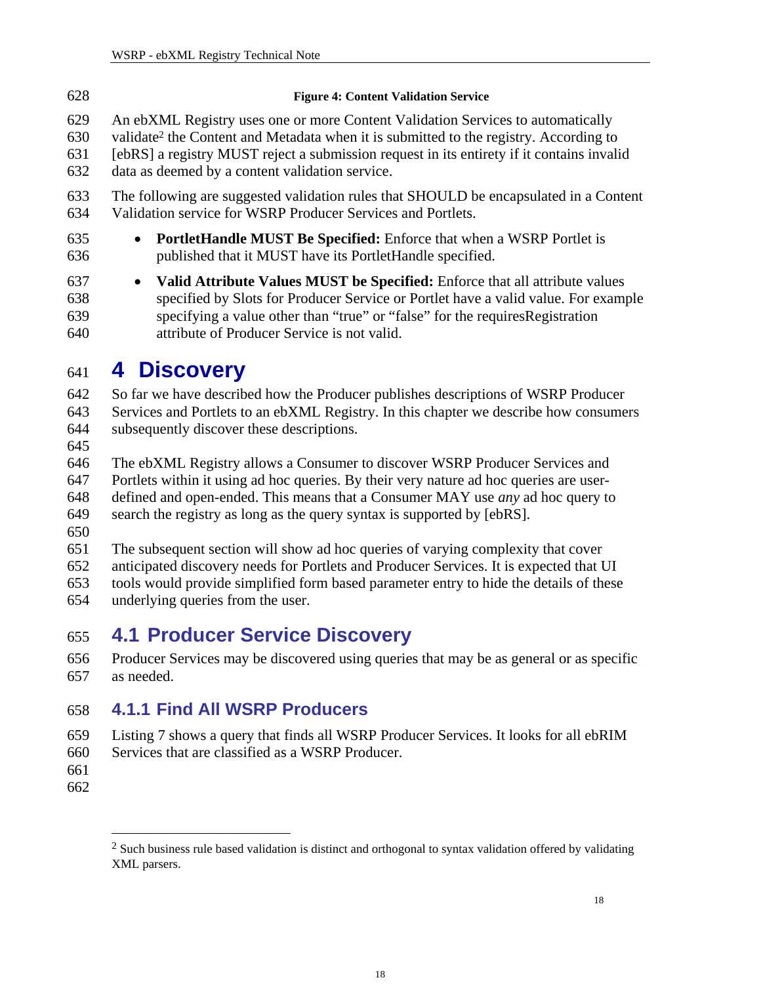<span id="page-17-0"></span>

| 628 | <b>Figure 4: Content Validation Service</b>                                                       |
|-----|---------------------------------------------------------------------------------------------------|
| 629 | An ebXML Registry uses one or more Content Validation Services to automatically                   |
| 630 | validate <sup>2</sup> the Content and Metadata when it is submitted to the registry. According to |
| 631 | [ebRS] a registry MUST reject a submission request in its entirety if it contains invalid         |
| 632 | data as deemed by a content validation service.                                                   |
| 633 | The following are suggested validation rules that SHOULD be encapsulated in a Content             |
| 634 | Validation service for WSRP Producer Services and Portlets.                                       |
| 635 | • PortletHandle MUST Be Specified: Enforce that when a WSRP Portlet is                            |
| 636 | published that it MUST have its PortletHandle specified.                                          |
| 637 | • Valid Attribute Values MUST be Specified: Enforce that all attribute values                     |
| 638 | specified by Slots for Producer Service or Portlet have a valid value. For example                |
| 639 | specifying a value other than "true" or "false" for the requires Registration                     |
| 640 | attribute of Producer Service is not valid.                                                       |

## 641 **4 Discovery**

642 So far we have described how the Producer publishes descriptions of WSRP Producer

643 644 Services and Portlets to an ebXML Registry. In this chapter we describe how consumers subsequently discover these descriptions.

645

646 647 648 The ebXML Registry allows a Consumer to discover WSRP Producer Services and Portlets within it using ad hoc queries. By their very nature ad hoc queries are userdefined and open-ended. This means that a Consumer MAY use *any* ad hoc query to

649 search the registry as long as the query syntax is supported by [ebRS].

650

651 652 The subsequent section will show ad hoc queries of varying complexity that cover anticipated discovery needs for Portlets and Producer Services. It is expected that UI

653 654 tools would provide simplified form based parameter entry to hide the details of these underlying queries from the user.

## 655 **4.1 Producer Service Discovery**

656 657 Producer Services may be discovered using queries that may be as general or as specific as needed.

## 658 **4.1.1 Find All WSRP Producers**

- 659 [Listing 7](#page-18-1) shows a query that finds all WSRP Producer Services. It looks for all ebRIM
- 660 Services that are classified as a WSRP Producer.
- 661
- 662

 $\overline{a}$ 

<span id="page-17-1"></span> $<sup>2</sup>$  Such business rule based validation is distinct and orthogonal to syntax validation offered by validating</sup> XML parsers.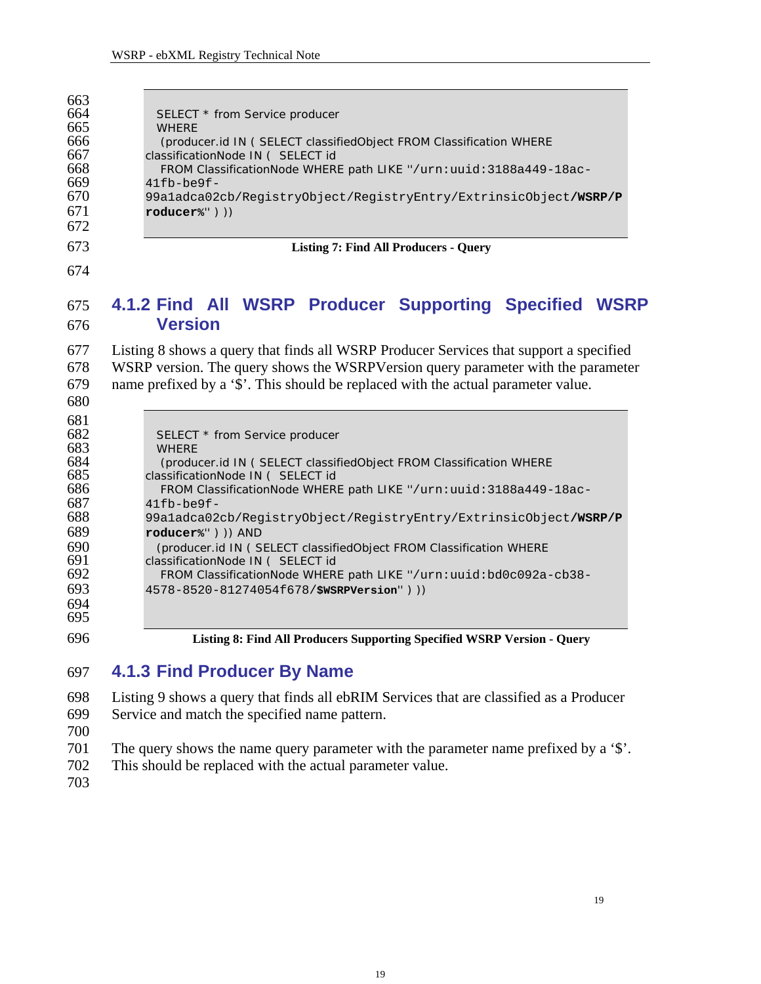<span id="page-18-1"></span><span id="page-18-0"></span>

| 663<br>664<br>665<br>666<br>667<br>668<br>669 | SELECT * from Service producer<br><b>WHERE</b><br>(producer.id IN ( SELECT classifiedObject FROM Classification WHERE<br>classificationNode IN ( SELECT id<br>FROM ClassificationNode WHERE path LIKE "/urn: uuid: 3188a449-18ac-<br>$41fb$ -be $9f$ -          |
|-----------------------------------------------|-----------------------------------------------------------------------------------------------------------------------------------------------------------------------------------------------------------------------------------------------------------------|
| 670<br>671<br>672                             | 99a1adca02cb/RegistryObject/RegistryEntry/ExtrinsicObject/WSRP/P<br>$roduce r$ <sup>2</sup> " $))$                                                                                                                                                              |
| 673                                           | <b>Listing 7: Find All Producers - Query</b>                                                                                                                                                                                                                    |
| 674                                           |                                                                                                                                                                                                                                                                 |
| 675<br>676                                    | 4.1.2 Find All WSRP Producer Supporting Specified WSRP<br><b>Version</b>                                                                                                                                                                                        |
| 677<br>678<br>679<br>680                      | Listing 8 shows a query that finds all WSRP Producer Services that support a specified<br>WSRP version. The query shows the WSRPVersion query parameter with the parameter<br>name prefixed by a '\$'. This should be replaced with the actual parameter value. |
| 681<br>682<br>683<br>684<br>685               | SELECT * from Service producer<br><b>WHERE</b><br>(producer.id IN ( SELECT classifiedObject FROM Classification WHERE<br>classificationNode IN ( SELECT id                                                                                                      |
| 686                                           | FROM ClassificationNode WHERE path LIKE "/urn: uuid: 3188a449-18ac-                                                                                                                                                                                             |
| 687<br>688<br>689                             | $41fb$ -be $9f$ -<br>99a1adca02cb/RegistryObject/RegistryEntry/ExtrinsicObject/WSRP/P<br>roducer%"))) AND                                                                                                                                                       |
| 690<br>691                                    | (producer.id IN ( SELECT classifiedObject FROM Classification WHERE<br>classificationNode IN ( SELECT id                                                                                                                                                        |
| 692<br>693<br>694                             | FROM ClassificationNode WHERE path LIKE "/urn: uuid: bd0c092a-cb38-<br>4578-8520-81274054f678/\$WSRPVersion")))                                                                                                                                                 |
| 695                                           |                                                                                                                                                                                                                                                                 |
| 696                                           | Listing 8: Find All Producers Supporting Specified WSRP Version - Query                                                                                                                                                                                         |

## <span id="page-18-2"></span> **4.1.3 Find Producer By Name**

| Listing 9 shows a query that finds all ebRIM Services that are classified as a Producer<br>Service and match the specified name pattern. |
|------------------------------------------------------------------------------------------------------------------------------------------|
|                                                                                                                                          |
|                                                                                                                                          |
| The query shows the name query parameter with the parameter name prefixed by a '\$'.                                                     |
| This should be replaced with the actual parameter value.                                                                                 |
|                                                                                                                                          |
|                                                                                                                                          |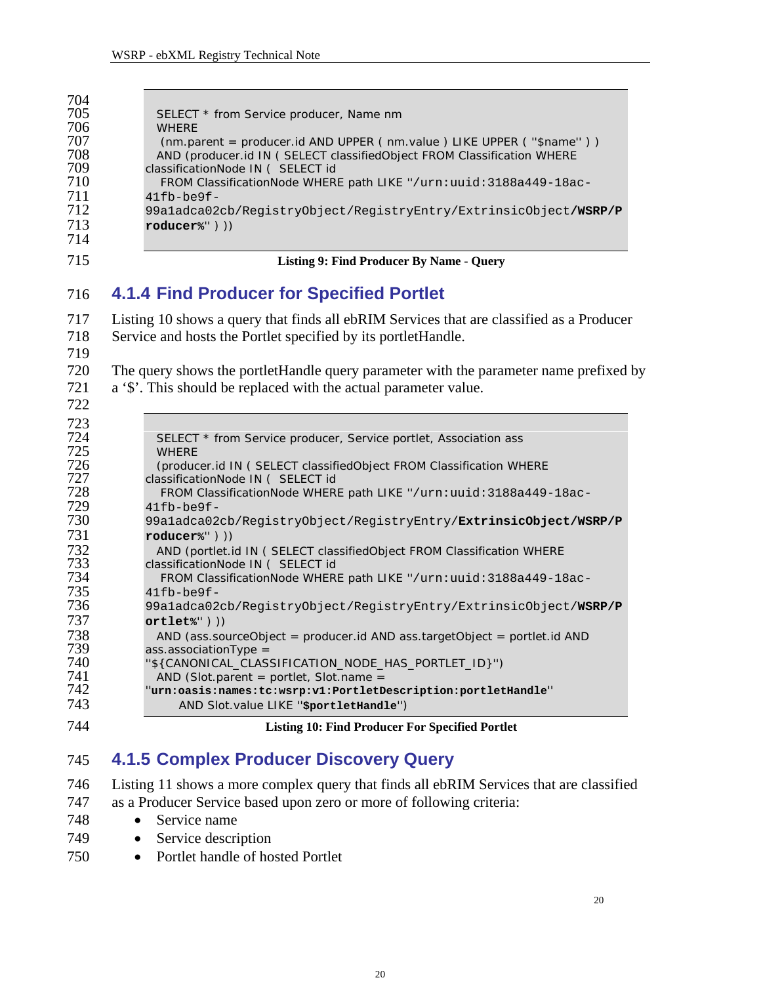<span id="page-19-1"></span><span id="page-19-0"></span>

| 704<br>705<br>706<br>707<br>708<br>709<br>710<br>711<br>712<br>713<br>714                                                                       | SELECT * from Service producer, Name nm<br><b>WHERE</b><br>(nm.parent = producer.id AND UPPER (nm.value ) LIKE UPPER (''\$name'') )<br>AND (producer.id IN ( SELECT classifiedObject FROM Classification WHERE<br>classificationNode IN ( SELECT id<br>FROM ClassificationNode WHERE path LIKE "/urn: uuid: 3188a449-18ac-<br>$41fb$ -be $9f$ -<br>99a1adca02cb/RegistryObject/RegistryEntry/ExtrinsicObject/WSRP/P<br>$roduce r\$ " ) )                                                                                                                                                                                                                                                                                                                                                                                                                                                                                                                                                                                |
|-------------------------------------------------------------------------------------------------------------------------------------------------|-------------------------------------------------------------------------------------------------------------------------------------------------------------------------------------------------------------------------------------------------------------------------------------------------------------------------------------------------------------------------------------------------------------------------------------------------------------------------------------------------------------------------------------------------------------------------------------------------------------------------------------------------------------------------------------------------------------------------------------------------------------------------------------------------------------------------------------------------------------------------------------------------------------------------------------------------------------------------------------------------------------------------|
| 715                                                                                                                                             | <b>Listing 9: Find Producer By Name - Query</b>                                                                                                                                                                                                                                                                                                                                                                                                                                                                                                                                                                                                                                                                                                                                                                                                                                                                                                                                                                         |
| 716                                                                                                                                             | <b>4.1.4 Find Producer for Specified Portlet</b>                                                                                                                                                                                                                                                                                                                                                                                                                                                                                                                                                                                                                                                                                                                                                                                                                                                                                                                                                                        |
| 717<br>718<br>719<br>720<br>721<br>722                                                                                                          | Listing 10 shows a query that finds all ebRIM Services that are classified as a Producer<br>Service and hosts the Portlet specified by its portlet Handle.<br>The query shows the portlet Handle query parameter with the parameter name prefixed by<br>a '\$'. This should be replaced with the actual parameter value.                                                                                                                                                                                                                                                                                                                                                                                                                                                                                                                                                                                                                                                                                                |
| 723<br>724<br>725<br>726<br>727<br>728<br>729<br>730<br>731<br>732<br>733<br>734<br>735<br>736<br>737<br>738<br>739<br>740<br>741<br>742<br>743 | SELECT * from Service producer, Service portlet, Association ass<br><b>WHERE</b><br>(producer.id IN ( SELECT classifiedObject FROM Classification WHERE<br>classificationNode IN ( SELECT id<br>FROM ClassificationNode WHERE path LIKE "/urn: uuid: 3188a449-18ac-<br>$41fb$ -be $9f$ -<br>99a1adca02cb/RegistryObject/RegistryEntry/ExtrinsicObject/WSRP/P<br>$roduce r$ <sup>2</sup> " $))$<br>AND (portlet.id IN ( SELECT classifiedObject FROM Classification WHERE<br>classificationNode IN ( SELECT id<br>FROM ClassificationNode WHERE path LIKE "/urn: uuid: 3188a449-18ac-<br>$41fb$ -be $9f$ -<br>99a1adca02cb/RegistryObject/RegistryEntry/ExtrinsicObject/WSRP/P<br>$ortlet$ ") $))$<br>AND (ass.sourceObject = producer.id AND ass.targetObject = portlet.id AND<br>$ass. associationType =$<br>"\${CANONICAL_CLASSIFICATION_NODE_HAS_PORTLET_ID}")<br>AND (Slot.parent = portlet, Slot.name =<br>"urn:oasis:names:tc:wsrp:v1:PortletDescription:portletHandle"<br>AND Slot.value LIKE "\$portletHandle") |
| 744                                                                                                                                             | <b>Listing 10: Find Producer For Specified Portlet</b>                                                                                                                                                                                                                                                                                                                                                                                                                                                                                                                                                                                                                                                                                                                                                                                                                                                                                                                                                                  |

## <span id="page-19-2"></span> **4.1.5 Complex Producer Discovery Query**

- [Listing 11](#page-20-1) shows a more complex query that finds all ebRIM Services that are classified as a Producer Service based upon zero or more of following criteria:
- • Service name
- • Service description
- • Portlet handle of hosted Portlet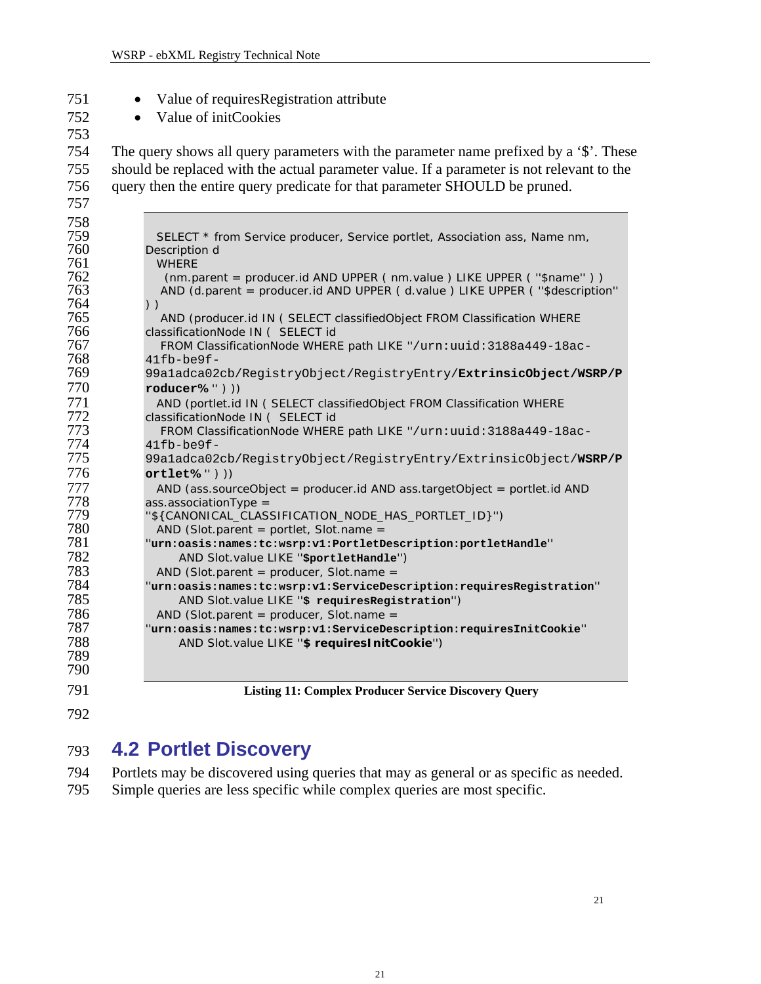- <span id="page-20-0"></span>
- Value of requiresRegistration attribute
- 

• Value of initCookies

 The query shows all query parameters with the parameter name prefixed by a '\$'. These should be replaced with the actual parameter value. If a parameter is not relevant to the query then the entire query predicate for that parameter SHOULD be pruned.

| 758        |                                                                                                              |
|------------|--------------------------------------------------------------------------------------------------------------|
| 759        | SELECT * from Service producer, Service portlet, Association ass, Name nm,                                   |
| 760        | Description d                                                                                                |
| 761        | <b>WHERE</b>                                                                                                 |
| 762        | (nm.parent = producer.id AND UPPER (nm.value) LIKE UPPER ("\$name"))                                         |
| 763        | AND (d.parent = producer.id AND UPPER (d.value) LIKE UPPER ("\$description"                                  |
| 764<br>765 | $)$ )                                                                                                        |
| 766        | AND (producer.id IN ( SELECT classifiedObject FROM Classification WHERE<br>classificationNode IN ( SELECT id |
| 767        | FROM ClassificationNode WHERE path LIKE "/urn: uuid: 3188a449-18ac-                                          |
| 768        | $41fb$ -be $9f$ -                                                                                            |
| 769        | 99a1adca02cb/RegistryObject/RegistryEntry/ExtrinsicObject/WSRP/P                                             |
| 770        | $roduce r\%$ " $))$                                                                                          |
| 771        | AND (portlet.id IN ( SELECT classifiedObject FROM Classification WHERE                                       |
| 772        | classificationNode IN ( SELECT id                                                                            |
| 773        | FROM ClassificationNode WHERE path LIKE "/urn: uuid: 3188a449-18ac-                                          |
| 774        | $41fb$ -be $9f$ -                                                                                            |
| 775        | 99a1adca02cb/RegistryObject/RegistryEntry/ExtrinsicObject/WSRP/P                                             |
| 776        | $ortlet\%" ) )$                                                                                              |
| 777        | AND (ass.sourceObject = producer.id AND ass.targetObject = portlet.id AND                                    |
| 778        | $ass. associationType =$                                                                                     |
| 779        | "\${CANONICAL_CLASSIFICATION_NODE_HAS_PORTLET_ID}")                                                          |
| 780        | AND (Slot.parent = portlet, Slot.name =                                                                      |
| 781        | "urn:oasis:names:tc:wsrp:v1:PortletDescription:portletHandle"                                                |
| 782        | AND Slot.value LIKE "sportletHandle")                                                                        |
| 783        | AND (Slot.parent = producer, Slot.name =                                                                     |
| 784        | "urn:oasis:names:tc:wsrp:v1:ServiceDescription:requiresRegistration"                                         |
| 785        | AND Slot.value LIKE "\$ requiresRegistration")                                                               |
| 786        | AND (Slot.parent = producer, Slot.name =                                                                     |
| 787        | "urn:oasis:names:tc:wsrp:v1:ServiceDescription:requiresInitCookie"                                           |
| 788        | AND Slot.value LIKE "\$ requires InitCookie")                                                                |
| 789        |                                                                                                              |
| 790        |                                                                                                              |
| 791        | <b>Listing 11: Complex Producer Service Discovery Query</b>                                                  |

<span id="page-20-1"></span>**Listing 11: Complex Producer Service Discovery Query** 

## **4.2 Portlet Discovery**

 Portlets may be discovered using queries that may as general or as specific as needed. Simple queries are less specific while complex queries are most specific.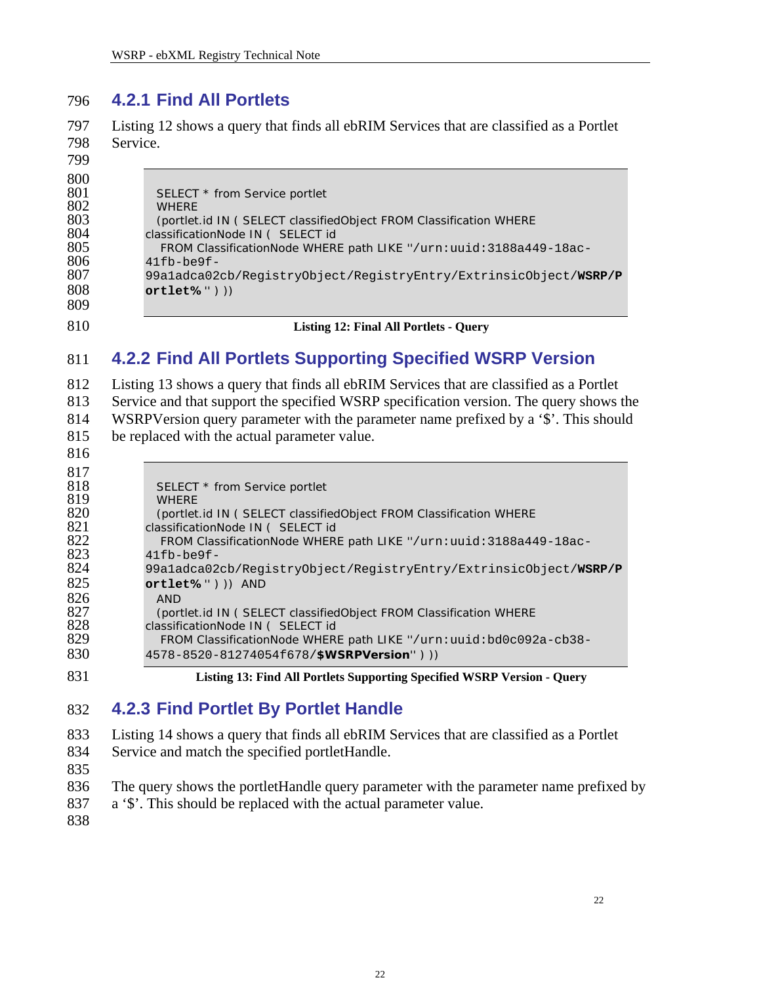#### <span id="page-21-0"></span> **4.2.1 Find All Portlets**

 [Listing 12](#page-21-1) shows a query that finds all ebRIM Services that are classified as a Portlet Service.

| 800 |                                                                     |
|-----|---------------------------------------------------------------------|
| 801 | SELECT * from Service portlet                                       |
| 802 | <b>WHERE</b>                                                        |
| 803 | (portlet.id IN ( SELECT classifiedObject FROM Classification WHERE  |
| 804 | classificationNode IN ( SELECT id                                   |
| 805 | FROM ClassificationNode WHERE path LIKE "/urn: uuid: 3188a449-18ac- |
| 806 | $41fb$ -be $9f$ -                                                   |
| 807 | 99a1adca02cb/RegistryObject/RegistryEntry/ExtrinsicObject/WSRP/P    |
| 808 | $ortlet\%$ " $)$ )                                                  |
| 809 |                                                                     |
|     |                                                                     |

# <span id="page-21-1"></span>**Listing 12: Final All Portlets - Query**

#### **4.2.2 Find All Portlets Supporting Specified WSRP Version**

 [Listing 13](#page-21-2) shows a query that finds all ebRIM Services that are classified as a Portlet Service and that support the specified WSRP specification version. The query shows the WSRPVersion query parameter with the parameter name prefixed by a '\$'. This should be replaced with the actual parameter value.

| 817 |                                                                     |
|-----|---------------------------------------------------------------------|
| 818 | SELECT * from Service portlet                                       |
| 819 | <b>WHERE</b>                                                        |
| 820 | (portlet.id IN ( SELECT classifiedObject FROM Classification WHERE  |
| 821 | classificationNode IN ( SELECT id                                   |
| 822 | FROM ClassificationNode WHERE path LIKE "/urn: uuid: 3188a449-18ac- |
| 823 | $41fb$ -be $9f$ -                                                   |
| 824 | 99a1adca02cb/ReqistryObject/ReqistryEntry/ExtrinsicObject/WSRP/P    |
| 825 | $ortlet\%$ " ) ) AND                                                |
| 826 | <b>AND</b>                                                          |
| 827 | (portlet.id IN ( SELECT classifiedObject FROM Classification WHERE  |
| 828 | classificationNode IN ( SELECT id                                   |
| 829 | FROM ClassificationNode WHERE path LIKE "/urn: uuid: bd0c092a-cb38- |
| 830 | 4578-8520-81274054f678/\$WSRPVersion")))                            |

<span id="page-21-2"></span>**Listing 13: Find All Portlets Supporting Specified WSRP Version - Query** 

#### **4.2.3 Find Portlet By Portlet Handle**

 [Listing 14](#page-22-1) shows a query that finds all ebRIM Services that are classified as a Portlet

 Service and match the specified portletHandle.

- 
- The query shows the portletHandle query parameter with the parameter name prefixed by
- a '\$'. This should be replaced with the actual parameter value.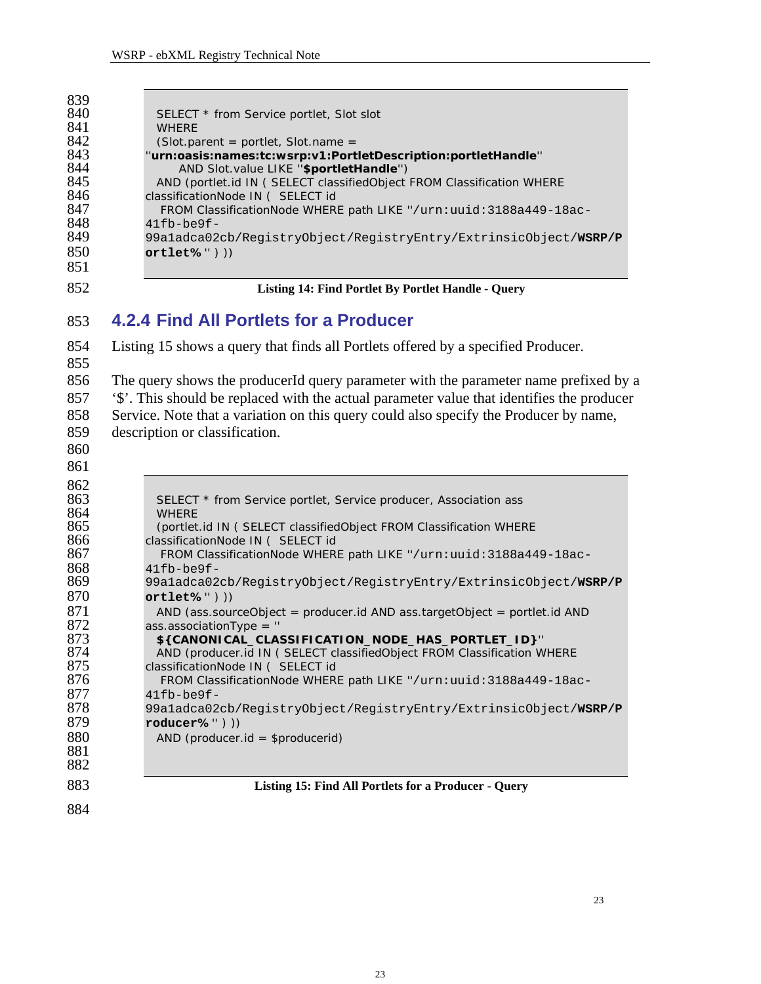<span id="page-22-0"></span>

| 852 | Listing 14: Find Portlet By Portlet Handle - Query                     |
|-----|------------------------------------------------------------------------|
| 851 |                                                                        |
| 850 | $ortlet\%$ " $)$ )                                                     |
| 849 | 99a1adca02cb/RegistryObject/RegistryEntry/ExtrinsicObject/WSRP/P       |
| 848 | $41fb$ -be $9f$ -                                                      |
| 847 | FROM ClassificationNode WHERE path LIKE "/urn: uuid: 3188a449-18ac-    |
| 846 | classificationNode IN ( SELECT id                                      |
| 845 | AND (portlet.id IN ( SELECT classifiedObject FROM Classification WHERE |
| 844 | AND Slot.value LIKE "\$portletHandle")                                 |
| 843 | "urn:oasis:names:tc:wsrp:v1:PortletDescription:portletHandle"          |
| 842 | $(Slot.parent = portlet, Slot.name =$                                  |
| 841 | <b>WHERE</b>                                                           |
| 840 | SELECT * from Service portlet, Slot slot                               |
| 839 |                                                                        |

#### <span id="page-22-1"></span> **4.2.4 Find All Portlets for a Producer**

 [Listing 15](#page-22-2) shows a query that finds all Portlets offered by a specified Producer. The query shows the producerId query parameter with the parameter name prefixed by a '\$'. This should be replaced with the actual parameter value that identifies the producer Service. Note that a variation on this query could also specify the Producer by name,

- description or classification.
- 

<span id="page-22-2"></span>862<br>863 SELECT \* from Service portlet, Service producer, Association ass WHERE (portlet.id IN ( SELECT classifiedObject FROM Classification WHERE classificationNode IN ( SELECT id FROM ClassificationNode WHERE path LIKE ''/urn:uuid:3188a449-18ac-41fb-be9f-99a1adca02cb/RegistryObject/RegistryEntry/ExtrinsicObject/**WSRP/P ortlet%**'' ) )) 871 AND (ass.sourceObject = producer.id AND ass.targetObject = portlet.id AND 872 ass.associationType = " ass.associationType = '' **\${CANONICAL\_CLASSIFICATION\_NODE\_HAS\_PORTLET\_ID}**'' 874 AND (producer.id IN ( SELECT classifiedObject FROM Classification WHERE<br>875 classificationNode IN ( SELECT id classificationNode IN ( SELECT id FROM ClassificationNode WHERE path LIKE ''/urn:uuid:3188a449-18ac-41fb-be9f-99a1adca02cb/RegistryObject/RegistryEntry/ExtrinsicObject/**WSRP/P roducer%**'' ) )) AND (producer.id = \$producerid) **Listing 15: Find All Portlets for a Producer - Query**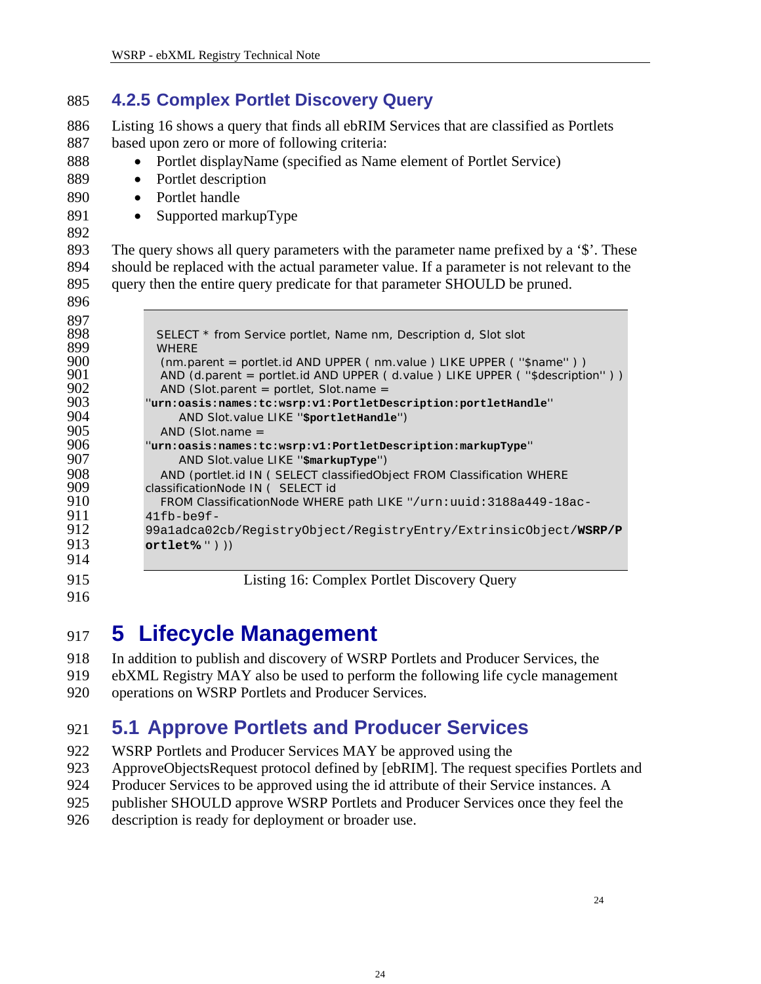#### <span id="page-23-0"></span> **4.2.5 Complex Portlet Discovery Query**

 [Listing 16](#page-23-1) shows a query that finds all ebRIM Services that are classified as Portlets based upon zero or more of following criteria:

- Portlet displayName (specified as Name element of Portlet Service)
- Portlet description
- Portlet handle
- Supported markupType
- 

 

 The query shows all query parameters with the parameter name prefixed by a '\$'. These should be replaced with the actual parameter value. If a parameter is not relevant to the query then the entire query predicate for that parameter SHOULD be pruned.

| 897 |                                                                              |
|-----|------------------------------------------------------------------------------|
| 898 | SELECT * from Service portlet, Name nm, Description d, Slot slot             |
| 899 | <b>WHERE</b>                                                                 |
| 900 | (nm.parent = portlet.id AND UPPER (nm.value ) LIKE UPPER ("\$name"))         |
| 901 | AND (d.parent = portlet.id AND UPPER (d.value) LIKE UPPER ("\$description")) |
| 902 | AND (Slot.parent = portlet, Slot.name =                                      |
| 903 | "urn:oasis:names:tc:wsrp:v1:PortletDescription:portletHandle"                |
| 904 | AND Slot.value LIKE "sportletHandle")                                        |
| 905 | $AND$ (Slot.name =                                                           |
| 906 | "urn:oasis:names:tc:wsrp:v1:PortletDescription:markupType"                   |
| 907 | AND Slot.value LIKE "\$markupType")                                          |
| 908 | AND (portlet.id IN ( SELECT classifiedObject FROM Classification WHERE       |
| 909 | classificationNode IN ( SELECT id                                            |
| 910 | FROM ClassificationNode WHERE path LIKE "/urn: uuid: 3188a449-18ac-          |
| 911 | $41fb$ -be $9f$ -                                                            |
| 912 | 99a1adca02cb/RegistryObject/RegistryEntry/ExtrinsicObject/WSRP/P             |
| 913 | $ortlet\%$ ") $))$                                                           |
| 914 |                                                                              |
|     |                                                                              |
| 915 | Listing 16: Complex Portlet Discovery Query                                  |

<span id="page-23-1"></span>

## **5 Lifecycle Management**

 In addition to publish and discovery of WSRP Portlets and Producer Services, the

- ebXML Registry MAY also be used to perform the following life cycle management
- operations on WSRP Portlets and Producer Services.

## **5.1 Approve Portlets and Producer Services**

- WSRP Portlets and Producer Services MAY be approved using the
- ApproveObjectsRequest protocol defined by [ebRIM]. The request specifies Portlets and
- Producer Services to be approved using the id attribute of their Service instances. A
- publisher SHOULD approve WSRP Portlets and Producer Services once they feel the
- description is ready for deployment or broader use.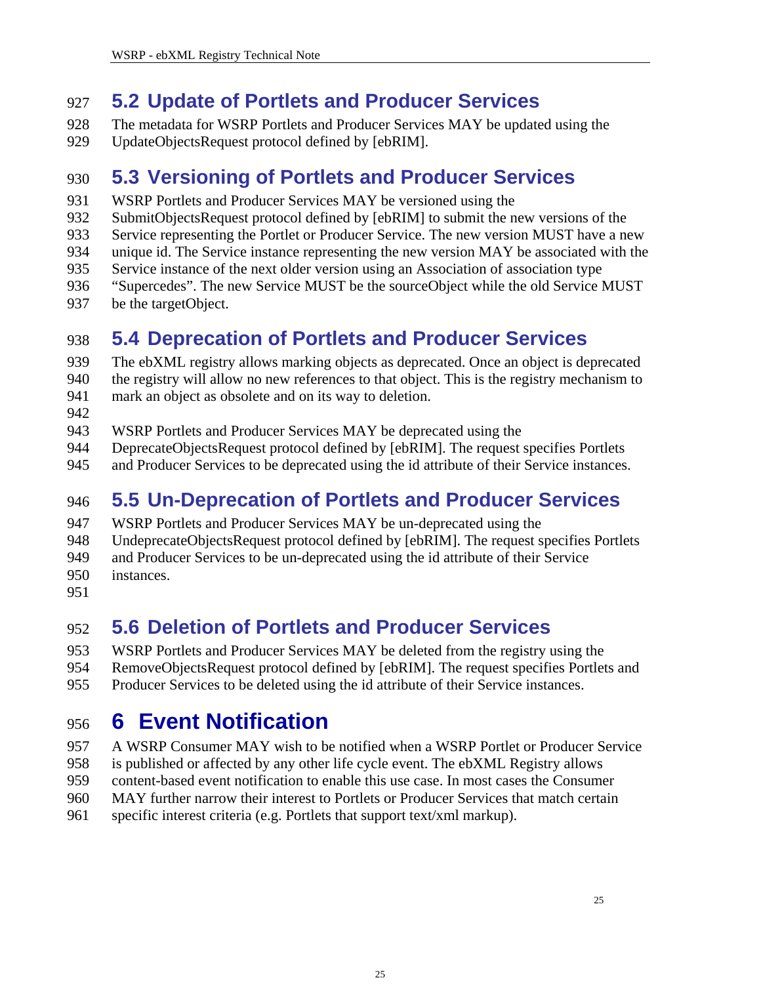#### <span id="page-24-0"></span>927 **5.2 Update of Portlets and Producer Services**

928 929 The metadata for WSRP Portlets and Producer Services MAY be updated using the UpdateObjectsRequest protocol defined by [ebRIM].

#### 930 **5.3 Versioning of Portlets and Producer Services**

- 931 WSRP Portlets and Producer Services MAY be versioned using the
- 932 SubmitObjectsRequest protocol defined by [ebRIM] to submit the new versions of the
- 933 Service representing the Portlet or Producer Service. The new version MUST have a new
- 934 unique id. The Service instance representing the new version MAY be associated with the
- 935 Service instance of the next older version using an Association of association type
- 936 "Supercedes". The new Service MUST be the sourceObject while the old Service MUST
- 937 be the targetObject.

## 938 **5.4 Deprecation of Portlets and Producer Services**

- 939 940 The ebXML registry allows marking objects as deprecated. Once an object is deprecated the registry will allow no new references to that object. This is the registry mechanism to
- 941 mark an object as obsolete and on its way to deletion.
- 942
- 943 WSRP Portlets and Producer Services MAY be deprecated using the
- 944 DeprecateObjectsRequest protocol defined by [ebRIM]. The request specifies Portlets
- 945 and Producer Services to be deprecated using the id attribute of their Service instances.

## 946 **5.5 Un-Deprecation of Portlets and Producer Services**

- 947 WSRP Portlets and Producer Services MAY be un-deprecated using the
- 948 UndeprecateObjectsRequest protocol defined by [ebRIM]. The request specifies Portlets
- 949 and Producer Services to be un-deprecated using the id attribute of their Service
- 950 instances.
- 951

## 952 **5.6 Deletion of Portlets and Producer Services**

- 953 954 WSRP Portlets and Producer Services MAY be deleted from the registry using the RemoveObjectsRequest protocol defined by [ebRIM]. The request specifies Portlets and
- 955 Producer Services to be deleted using the id attribute of their Service instances.

## 956 **6 Event Notification**

- 957 A WSRP Consumer MAY wish to be notified when a WSRP Portlet or Producer Service
- 958 is published or affected by any other life cycle event. The ebXML Registry allows
- 959 content-based event notification to enable this use case. In most cases the Consumer
- 960 MAY further narrow their interest to Portlets or Producer Services that match certain
- 961 specific interest criteria (e.g. Portlets that support text/xml markup).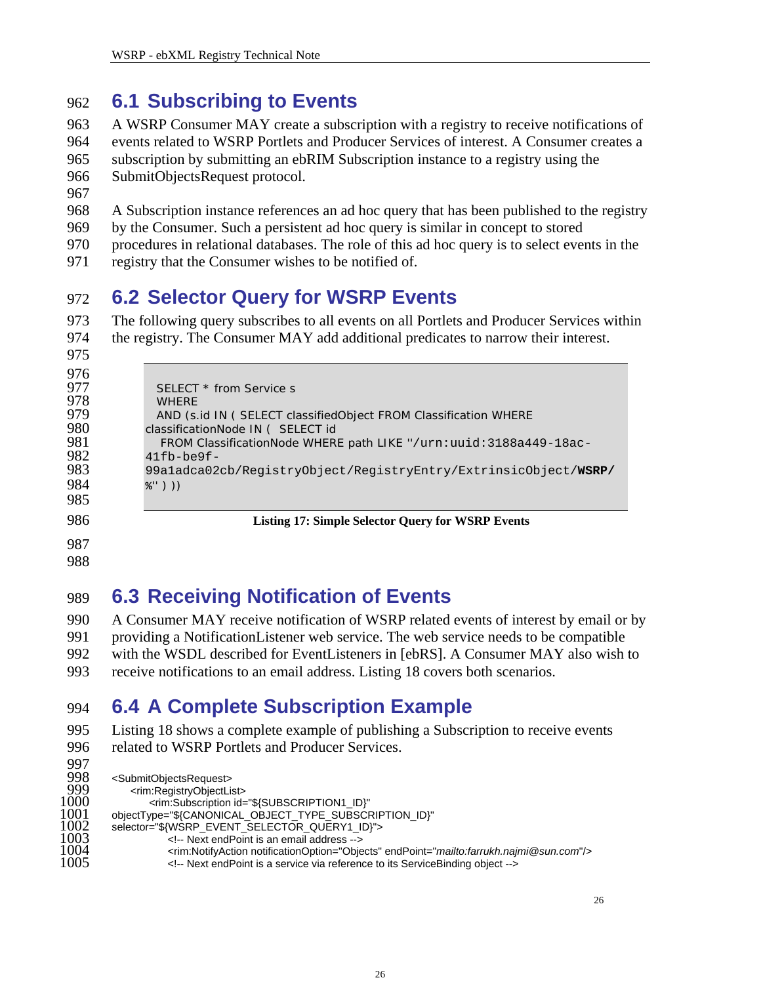#### <span id="page-25-0"></span>962 **6.1 Subscribing to Events**

- 963 964 965 966 A WSRP Consumer MAY create a subscription with a registry to receive notifications of events related to WSRP Portlets and Producer Services of interest. A Consumer creates a subscription by submitting an ebRIM Subscription instance to a registry using the SubmitObjectsRequest protocol.
- 967
- 968 A Subscription instance references an ad hoc query that has been published to the registry
- 969 by the Consumer. Such a persistent ad hoc query is similar in concept to stored
- 970 procedures in relational databases. The role of this ad hoc query is to select events in the
- 971 registry that the Consumer wishes to be notified of.

#### 972 **6.2 Selector Query for WSRP Events**

973 974 The following query subscribes to all events on all Portlets and Producer Services within the registry. The Consumer MAY add additional predicates to narrow their interest.

| v<br>× |  |
|--------|--|
|        |  |

| 987 |                                                                     |
|-----|---------------------------------------------------------------------|
| 986 | <b>Listing 17: Simple Selector Query for WSRP Events</b>            |
| 985 |                                                                     |
| 984 | %")))                                                               |
| 983 | 99a1adca02cb/RegistryObject/RegistryEntry/ExtrinsicObject/WSRP/     |
| 982 | $41fb$ -be $9f$ -                                                   |
| 981 | FROM ClassificationNode WHERE path LIKE "/urn: uuid: 3188a449-18ac- |
| 980 | classificationNode IN ( SELECT id                                   |
| 979 | AND (s.id IN ( SELECT classified Object FROM Classification WHERE   |
| 978 | <b>WHERE</b>                                                        |
| 977 | SELECT * from Service s                                             |
| 976 |                                                                     |

988

### 989 **6.3 Receiving Notification of Events**

990 991 992 993 A Consumer MAY receive notification of WSRP related events of interest by email or by providing a NotificationListener web service. The web service needs to be compatible with the WSDL described for EventListeners in [ebRS]. A Consumer MAY also wish to receive notifications to an email address. [Listing 18](#page-26-2) covers both scenarios.

## 994 **6.4 A Complete Subscription Example**

995 996 [Listing 18](#page-26-2) shows a complete example of publishing a Subscription to receive events related to WSRP Portlets and Producer Services.

```
997<br>998<br>999
         <SubmitObjectsRequest>
999 <rim:RegistryObjectList> 
1000 <rim:Subscription id="${SUBSCRIPTION1_ID}" 
1001 objectType="${CANONICAL_OBJECT_TYPE_SUBSCRIPTION_ID}" 
1002 selector="${WSRP_EVENT_SELECTOR_QUERY1_ID}"> 
1003 <!-- Next endPoint is an email address --> 
1004 <rim:NotifyAction notificationOption="Objects" endPoint="mailto:farrukh.najmi@sun.com"/> 
                   1005 <!-- Next endPoint is a service via reference to its ServiceBinding object -->
```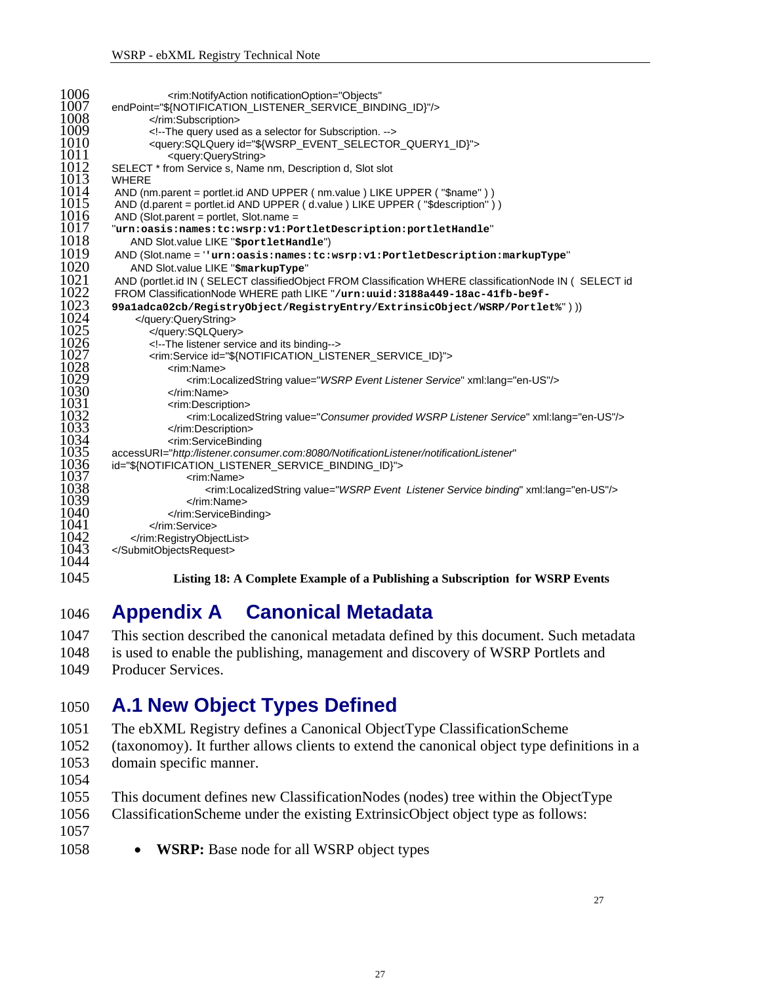<span id="page-26-0"></span>

| 1006                 | <rim:notifyaction <="" notificationoption="Objects" th=""></rim:notifyaction>                                                                                                                        |
|----------------------|------------------------------------------------------------------------------------------------------------------------------------------------------------------------------------------------------|
| 1007                 | endPoint="\${NOTIFICATION LISTENER SERVICE BINDING ID}"/>                                                                                                                                            |
| 1008                 |                                                                                                                                                                                                      |
| 1009                 | The query used as a selector for Subscription.                                                                                                                                                       |
| 1010                 | <query:sqlquery id="\${WSRP_EVENT_SELECTOR_QUERY1_ID}"></query:sqlquery>                                                                                                                             |
| 1011                 | <query:querystring></query:querystring>                                                                                                                                                              |
| 1012                 | SELECT * from Service s, Name nm, Description d, Slot slot                                                                                                                                           |
| 1013                 | <b>WHERE</b>                                                                                                                                                                                         |
| 1014                 | AND (nm.parent = portlet.id AND UPPER (nm.value) LIKE UPPER ("\$name"))                                                                                                                              |
| 1015                 | AND (d.parent = portlet.id AND UPPER (d.value) LIKE UPPER ("\$description"))                                                                                                                         |
| 1016                 | AND (Slot.parent = portlet, Slot.name =                                                                                                                                                              |
| 1017                 | "urn:oasis:names:tc:wsrp:v1:PortletDescription:portletHandle"                                                                                                                                        |
| 1018                 | AND Slot.value LIKE "sportletHandle")                                                                                                                                                                |
| 1019                 | AND (Slot.name = ''urn:oasis:names:tc:wsrp:v1:PortletDescription:markupType"                                                                                                                         |
| 1020                 | AND Slot.value LIKE "\$markupType"                                                                                                                                                                   |
| 1021                 | AND (portlet.id IN ( SELECT classifiedObject FROM Classification WHERE classificationNode IN ( SELECT id                                                                                             |
| 1022                 | FROM ClassificationNode WHERE path LIKE "/urn:uuid:3188a449-18ac-41fb-be9f-                                                                                                                          |
| 1023                 | 99a1adca02cb/RegistryObject/RegistryEntry/ExtrinsicObject/WSRP/Portlet%")))                                                                                                                          |
| 1024                 |                                                                                                                                                                                                      |
| 1025<br>1026<br>1027 | <br>The listener service and its binding                                                                                                                                                             |
| 1028<br>1029         | <rim:service id="\${NOTIFICATION_LISTENER_SERVICE_ID}"><br/><rim:name><br/><rim:localizedstring value="WSRP Event Listener Service" xml:lang="en-US"></rim:localizedstring></rim:name></rim:service> |
| 1030                 |                                                                                                                                                                                                      |
| 1031                 | <rim:description></rim:description>                                                                                                                                                                  |
| 1032                 | <rim:localizedstring value="Consumer provided WSRP Listener Service" xml:lang="en-US"></rim:localizedstring>                                                                                         |
| 1033                 |                                                                                                                                                                                                      |
| 1034                 | <rim:servicebinding< td=""></rim:servicebinding<>                                                                                                                                                    |
| 1035                 | accessURI="http:/listener.consumer.com:8080/NotificationListener/notificationListener"                                                                                                               |
| 1036                 | id="\${NOTIFICATION_LISTENER_SERVICE_BINDING_ID}">                                                                                                                                                   |
| 1037                 | <rim:name></rim:name>                                                                                                                                                                                |
| 1038                 | <rim:localizedstring value="WSRP Event Listener Service binding" xml:lang="en-US"></rim:localizedstring>                                                                                             |
| 1039                 |                                                                                                                                                                                                      |
| 1040                 |                                                                                                                                                                                                      |
| 1041                 |                                                                                                                                                                                                      |
| 1042<br>1043<br>1044 | <br>                                                                                                                                                                                                 |
| 1045                 | Listing 18: A Complete Example of a Publishing a Subscription for WSRP Events                                                                                                                        |

## <span id="page-26-2"></span> **Appendix A Canonical Metadata**

- This section described the canonical metadata defined by this document. Such metadata
- is used to enable the publishing, management and discovery of WSRP Portlets and Producer Services.

### <span id="page-26-1"></span> **A.1 New Object Types Defined**

- The ebXML Registry defines a Canonical ObjectType ClassificationScheme
- (taxonomoy). It further allows clients to extend the canonical object type definitions in a domain specific manner.
- 
- This document defines new ClassificationNodes (nodes) tree within the ObjectType
- ClassificationScheme under the existing ExtrinsicObject object type as follows:
- 
- • **WSRP:** Base node for all WSRP object types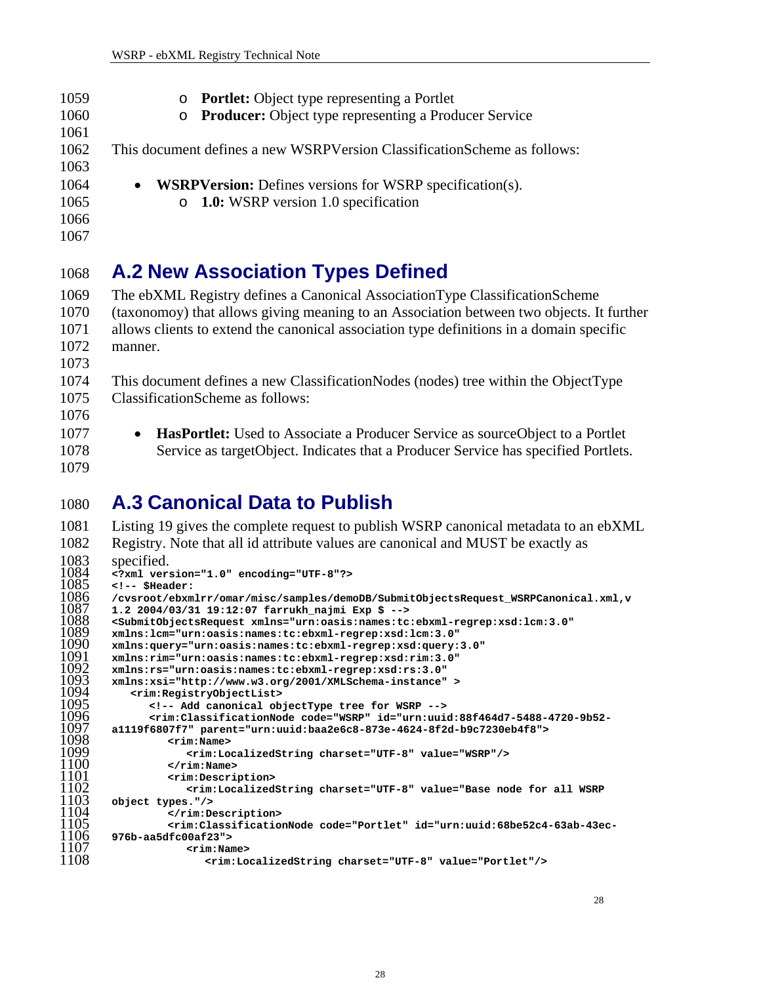<span id="page-27-0"></span>

| 1059 | • Portlet: Object type representing a Portlet                                |
|------|------------------------------------------------------------------------------|
| 1060 | o Producer: Object type representing a Producer Service                      |
| 1061 |                                                                              |
| 1062 | This document defines a new WSRPVersion ClassificationScheme as follows:     |
| 1063 |                                                                              |
| 1064 | <b>WSRPVersion:</b> Defines versions for WSRP specification(s).<br>$\bullet$ |
| 1065 | $\circ$ 1.0: WSRP version 1.0 specification                                  |
| 1066 |                                                                              |
| 1067 |                                                                              |
|      |                                                                              |

## <span id="page-27-1"></span>1068 **A.2 New Association Types Defined**

1069 1070 1071 1072 1073 The ebXML Registry defines a Canonical AssociationType ClassificationScheme (taxonomoy) that allows giving meaning to an Association between two objects. It further allows clients to extend the canonical association type definitions in a domain specific manner.

1074 1075 This document defines a new ClassificationNodes (nodes) tree within the ObjectType ClassificationScheme as follows:

- 1076
- 1077

1078

1079

• **HasPortlet:** Used to Associate a Producer Service as sourceObject to a Portlet Service as targetObject. Indicates that a Producer Service has specified Portlets.

## 1080 **A.3 Canonical Data to Publish**

```
1081 
1082 
1083 
1084 
1085 
1086 
1087 
1088 
1089 
1090 
1091 
1092 
1093 
1094 
1095 
1096 
1097 
1098 
1099 
1100 
1101 
1102 
1103 
1104 
1105 
1106 
1107 
1108 
        Listing 19 gives the complete request to publish WSRP canonical metadata to an ebXML 
        Registry. Note that all id attribute values are canonical and MUST be exactly as 
        specified. 
        <?xml version="1.0" encoding="UTF-8"?> 
        <!-- $Header: 
        /cvsroot/ebxmlrr/omar/misc/samples/demoDB/SubmitObjectsRequest_WSRPCanonical.xml,v 
        1.2 2004/03/31 19:12:07 farrukh_najmi Exp $ --> 
        <SubmitObjectsRequest xmlns="urn:oasis:names:tc:ebxml-regrep:xsd:lcm:3.0" 
        xmlns:lcm="urn:oasis:names:tc:ebxml-regrep:xsd:lcm:3.0" 
        xmlns:query="urn:oasis:names:tc:ebxml-regrep:xsd:query:3.0" 
        xmlns:rim="urn:oasis:names:tc:ebxml-regrep:xsd:rim:3.0" 
        xmlns:rs="urn:oasis:names:tc:ebxml-regrep:xsd:rs:3.0" 
        xmlns:xsi="http://www.w3.org/2001/XMLSchema-instance" > 
            <rim:RegistryObjectList> 
              <!-- Add canonical objectType tree for WSRP --> 
                <rim:ClassificationNode code="WSRP" id="urn:uuid:88f464d7-5488-4720-9b52-
        a1119f6807f7" parent="urn:uuid:baa2e6c8-873e-4624-8f2d-b9c7230eb4f8"> 
                  <rim:Name> 
                      <rim:LocalizedString charset="UTF-8" value="WSRP"/> 
                   </rim:Name> 
                  <rim:Description> 
                     <rim:LocalizedString charset="UTF-8" value="Base node for all WSRP 
        object types."/> 
                  </rim:Description> 
                   <rim:ClassificationNode code="Portlet" id="urn:uuid:68be52c4-63ab-43ec-
        976b-aa5dfc00af23"> 
                      <rim:Name> 
                         <rim:LocalizedString charset="UTF-8" value="Portlet"/>
```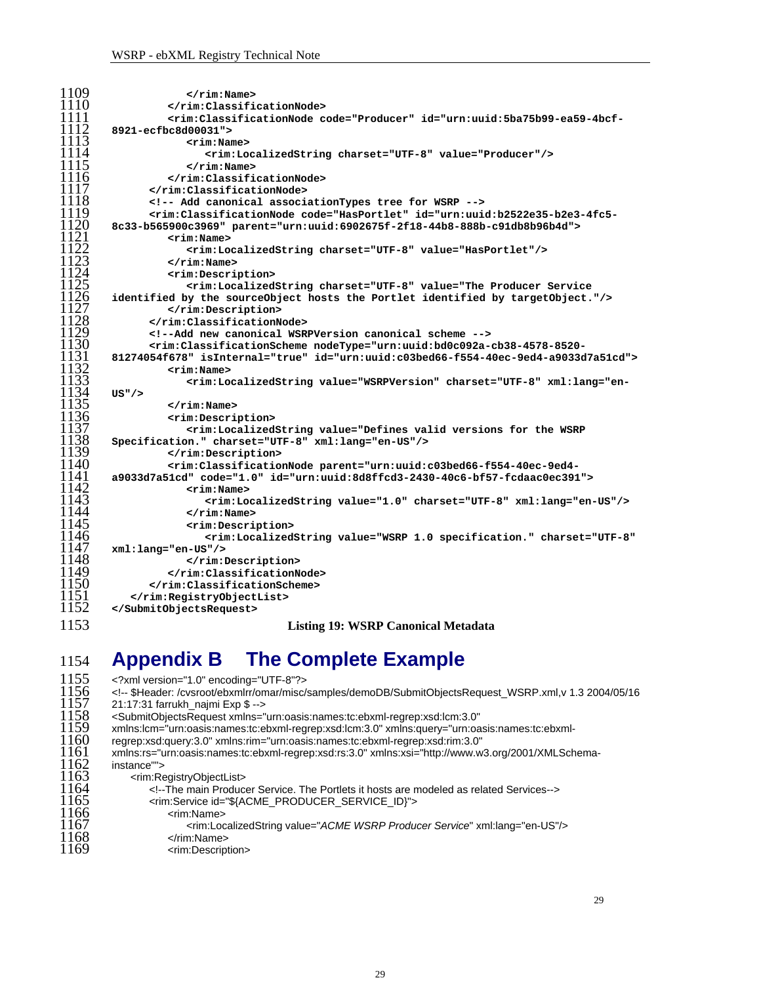<span id="page-28-0"></span>

| 1109 | $\langle$ rim:Name>                                                                                                                                                                                                                                                                                                                                                                                                                                                                                                                                                                                                                                                                             |
|------|-------------------------------------------------------------------------------------------------------------------------------------------------------------------------------------------------------------------------------------------------------------------------------------------------------------------------------------------------------------------------------------------------------------------------------------------------------------------------------------------------------------------------------------------------------------------------------------------------------------------------------------------------------------------------------------------------|
| 1110 |                                                                                                                                                                                                                                                                                                                                                                                                                                                                                                                                                                                                                                                                                                 |
| 1111 | <rim:classificationnode code="Producer" id="urn:uuid:5ba75b99-ea59-4bcf-&lt;/th&gt;&lt;/tr&gt;&lt;tr&gt;&lt;th&gt;1112&lt;/th&gt;&lt;th&gt;8921-ecfbc8d00031"></rim:classificationnode>                                                                                                                                                                                                                                                                                                                                                                                                                                                                                                         |
| 1113 | $<$ rim:Name $>$                                                                                                                                                                                                                                                                                                                                                                                                                                                                                                                                                                                                                                                                                |
| 1114 | <rim:localizedstring charset="UTF-8" value="Producer"></rim:localizedstring>                                                                                                                                                                                                                                                                                                                                                                                                                                                                                                                                                                                                                    |
| 1115 | $\langle$ rim:Name>                                                                                                                                                                                                                                                                                                                                                                                                                                                                                                                                                                                                                                                                             |
| 1116 |                                                                                                                                                                                                                                                                                                                                                                                                                                                                                                                                                                                                                                                                                                 |
| 1117 |                                                                                                                                                                                                                                                                                                                                                                                                                                                                                                                                                                                                                                                                                                 |
| 1118 | Add canonical associationTypes tree for WSRP                                                                                                                                                                                                                                                                                                                                                                                                                                                                                                                                                                                                                                                    |
| 1119 | <rim:classificationnode code="HasPortlet" id="urn:uuid:b2522e35-b2e3-4fc5-&lt;/th&gt;&lt;/tr&gt;&lt;tr&gt;&lt;th&gt;&lt;b&gt;1120&lt;/b&gt;&lt;/th&gt;&lt;th&gt;8c33-b565900c3969" parent="urn:uuid:6902675f-2f18-44b8-888b-c91db8b96b4d"></rim:classificationnode>                                                                                                                                                                                                                                                                                                                                                                                                                             |
| 1121 | $<$ rim:Name>                                                                                                                                                                                                                                                                                                                                                                                                                                                                                                                                                                                                                                                                                   |
| 1122 | <rim:localizedstring charset="UTF-8" value="HasPortlet"></rim:localizedstring>                                                                                                                                                                                                                                                                                                                                                                                                                                                                                                                                                                                                                  |
| 1123 | $\langle$ rim:Name>                                                                                                                                                                                                                                                                                                                                                                                                                                                                                                                                                                                                                                                                             |
| 1124 | <rim:description></rim:description>                                                                                                                                                                                                                                                                                                                                                                                                                                                                                                                                                                                                                                                             |
| 1125 | <rim:localizedstring charset="UTF-8" value="The Producer Service&lt;/th&gt;&lt;/tr&gt;&lt;tr&gt;&lt;th&gt;1126&lt;/th&gt;&lt;th&gt;identified by the sourceObject hosts the Portlet identified by targetObject."></rim:localizedstring>                                                                                                                                                                                                                                                                                                                                                                                                                                                         |
| 1127 |                                                                                                                                                                                                                                                                                                                                                                                                                                                                                                                                                                                                                                                                                                 |
| 1128 |                                                                                                                                                                                                                                                                                                                                                                                                                                                                                                                                                                                                                                                                                                 |
| 1129 | Add new canonical WSRPVersion canonical scheme                                                                                                                                                                                                                                                                                                                                                                                                                                                                                                                                                                                                                                                  |
| 1130 | <rim:classificationscheme id="urn:uuid:c03bed66-f554-40ec-9ed4-a9033d7a51cd" isinternal="true" nodetype="urn:uuid:bd0c092a-cb38-4578-8520-&lt;/th&gt;&lt;/tr&gt;&lt;tr&gt;&lt;th&gt;1131&lt;/th&gt;&lt;th&gt;81274054f678"></rim:classificationscheme>                                                                                                                                                                                                                                                                                                                                                                                                                                          |
| 1132 | <rim:name></rim:name>                                                                                                                                                                                                                                                                                                                                                                                                                                                                                                                                                                                                                                                                           |
| 1133 | <rim:localizedstring charset="UTF-8" defines="" for="" the="" valid="" value="WSRPVersion" versions="" wsrp<br="" xml:lang="en-&lt;/th&gt;&lt;/tr&gt;&lt;tr&gt;&lt;th&gt;1134&lt;/th&gt;&lt;th&gt;&lt;math&gt;US''&lt;/math&gt; /&gt;&lt;/th&gt;&lt;/tr&gt;&lt;tr&gt;&lt;th&gt;1135&lt;/th&gt;&lt;th&gt;&lt;math&gt;\langle&lt;/math&gt;rim:Name&gt;&lt;/th&gt;&lt;/tr&gt;&lt;tr&gt;&lt;th&gt;1136&lt;/th&gt;&lt;th&gt;&lt;/th&gt;&lt;/tr&gt;&lt;tr&gt;&lt;th&gt;1137&lt;/th&gt;&lt;th&gt;&lt;rim:Description&gt;&lt;/th&gt;&lt;/tr&gt;&lt;tr&gt;&lt;th&gt;1138&lt;/th&gt;&lt;th&gt;&lt;rim:LocalizedString value=">Specification." charset="UTF-8" xml:lang="en-US"/&gt;</rim:localizedstring> |
| 1139 |                                                                                                                                                                                                                                                                                                                                                                                                                                                                                                                                                                                                                                                                                                 |
| 1140 |                                                                                                                                                                                                                                                                                                                                                                                                                                                                                                                                                                                                                                                                                                 |
| 1141 | <rim:classificationnode code="1.0" id="urn:uuid:8d8ffcd3-2430-40c6-bf57-fcdaac0ec391" parent="urn:uuid:c03bed66-f554-40ec-9ed4-&lt;br&gt;a9033d7a51cd"></rim:classificationnode>                                                                                                                                                                                                                                                                                                                                                                                                                                                                                                                |
| 1142 | <rim:name></rim:name>                                                                                                                                                                                                                                                                                                                                                                                                                                                                                                                                                                                                                                                                           |
| 1143 |                                                                                                                                                                                                                                                                                                                                                                                                                                                                                                                                                                                                                                                                                                 |
| 1144 | <rim:localizedstring charset="UTF-8" value="1.0" xml:lang="en-US"></rim:localizedstring><br>$\langle$ rim:Name>                                                                                                                                                                                                                                                                                                                                                                                                                                                                                                                                                                                 |
| 1145 | <rim:description></rim:description>                                                                                                                                                                                                                                                                                                                                                                                                                                                                                                                                                                                                                                                             |
| 1146 | <rim:localizedstring <="" charset="UTF-8" th="" value="WSRP 1.0 specification."></rim:localizedstring>                                                                                                                                                                                                                                                                                                                                                                                                                                                                                                                                                                                          |
| 1147 | xml:lang="en-US"/>                                                                                                                                                                                                                                                                                                                                                                                                                                                                                                                                                                                                                                                                              |
| 1148 |                                                                                                                                                                                                                                                                                                                                                                                                                                                                                                                                                                                                                                                                                                 |
| 1149 |                                                                                                                                                                                                                                                                                                                                                                                                                                                                                                                                                                                                                                                                                                 |
| 1150 |                                                                                                                                                                                                                                                                                                                                                                                                                                                                                                                                                                                                                                                                                                 |
| 1151 |                                                                                                                                                                                                                                                                                                                                                                                                                                                                                                                                                                                                                                                                                                 |
| 1152 |                                                                                                                                                                                                                                                                                                                                                                                                                                                                                                                                                                                                                                                                                                 |
|      |                                                                                                                                                                                                                                                                                                                                                                                                                                                                                                                                                                                                                                                                                                 |
| 1153 | <b>Listing 19: WSRP Canonical Metadata</b>                                                                                                                                                                                                                                                                                                                                                                                                                                                                                                                                                                                                                                                      |

## <span id="page-28-1"></span>1154 **Appendix B The Complete Example**

| 1155<br>1156<br>1157<br>1158<br>1159<br>1160<br>1161<br>1162<br>1163<br>1164<br>1165<br>1166<br>1167<br>1168 | xml version="1.0" encoding="UTF-8"?<br>\$Header: /cvsroot/ebxmlrr/omar/misc/samples/demoDB/SubmitObjectsRequest_WSRP.xml,v 1.3 2004/05/16<br>21:17:31 farrukh najmi Exp \$<br><submitobjectsrequest <br="" xmlns="urn:oasis:names:tc:ebxml-regrep:xsd:lcm:3.0">xmlns:lcm="urn:oasis:names:tc:ebxml-regrep:xsd:lcm:3.0" xmlns:query="urn:oasis:names:tc:ebxml-<br/>regrep:xsd:query:3.0" xmlns:rim="urn:oasis:names:tc:ebxml-regrep:xsd:rim:3.0"<br/>xmlns:rs="urn:oasis:names:tc:ebxml-regrep:xsd:rs:3.0" xmlns:xsi="http://www.w3.org/2001/XMLSchema-<br/>instance""&gt;<br/><rim:registryobjectlist><br/><!---The main Producer Service. The Portlets it hosts are modeled as related Services----><br/><rim:service id="\${ACME_PRODUCER_SERVICE_ID}"><br/><rim:name><br/><rim:localizedstring value="ACME WSRP Producer Service" xml:lang="en-US"></rim:localizedstring><br/><math>\le</math>/rim:Name&gt;</rim:name></rim:service></rim:registryobjectlist></submitobjectsrequest> |
|--------------------------------------------------------------------------------------------------------------|-----------------------------------------------------------------------------------------------------------------------------------------------------------------------------------------------------------------------------------------------------------------------------------------------------------------------------------------------------------------------------------------------------------------------------------------------------------------------------------------------------------------------------------------------------------------------------------------------------------------------------------------------------------------------------------------------------------------------------------------------------------------------------------------------------------------------------------------------------------------------------------------------------------------------------------------------------------------------------------------|
| 1169                                                                                                         | <rim:description></rim:description>                                                                                                                                                                                                                                                                                                                                                                                                                                                                                                                                                                                                                                                                                                                                                                                                                                                                                                                                                     |
|                                                                                                              |                                                                                                                                                                                                                                                                                                                                                                                                                                                                                                                                                                                                                                                                                                                                                                                                                                                                                                                                                                                         |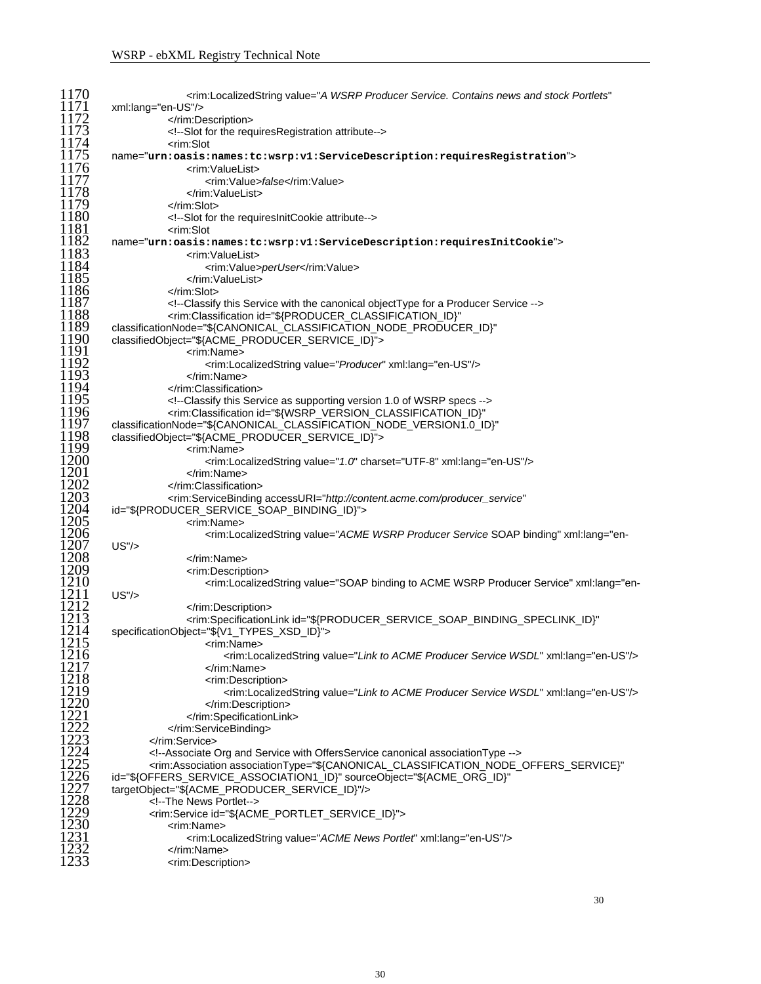| 1170                                            | <rim:localizedstring <="" td="" value="A WSRP Producer Service. Contains news and stock Portlets"></rim:localizedstring>                                                                                                                                                                                                                                                                                                                                                                                    |
|-------------------------------------------------|-------------------------------------------------------------------------------------------------------------------------------------------------------------------------------------------------------------------------------------------------------------------------------------------------------------------------------------------------------------------------------------------------------------------------------------------------------------------------------------------------------------|
| 1171                                            | xml:lang="en-US"/>                                                                                                                                                                                                                                                                                                                                                                                                                                                                                          |
| 1172                                            |                                                                                                                                                                                                                                                                                                                                                                                                                                                                                                             |
| 1173                                            | Slot for the requiresRegistration attribute                                                                                                                                                                                                                                                                                                                                                                                                                                                                 |
| 1174                                            | <rim:slot< td=""></rim:slot<>                                                                                                                                                                                                                                                                                                                                                                                                                                                                               |
| 1175                                            | name="urn:oasis:names:tc:wsrp:v1:ServiceDescription:requiresRegistration">                                                                                                                                                                                                                                                                                                                                                                                                                                  |
|                                                 |                                                                                                                                                                                                                                                                                                                                                                                                                                                                                                             |
| 1176                                            | <rim:valuelist></rim:valuelist>                                                                                                                                                                                                                                                                                                                                                                                                                                                                             |
| 1177                                            | <rim:value>false</rim:value>                                                                                                                                                                                                                                                                                                                                                                                                                                                                                |
| 1178                                            |                                                                                                                                                                                                                                                                                                                                                                                                                                                                                                             |
| 1179                                            |                                                                                                                                                                                                                                                                                                                                                                                                                                                                                                             |
| 1180                                            | Slot for the requiresInitCookie attribute                                                                                                                                                                                                                                                                                                                                                                                                                                                                   |
| 1181                                            | <rim:slot< td=""></rim:slot<>                                                                                                                                                                                                                                                                                                                                                                                                                                                                               |
| 1182                                            | name="urn:oasis:names:tc:wsrp:v1:ServiceDescription:requiresInitCookie">                                                                                                                                                                                                                                                                                                                                                                                                                                    |
| 1183                                            |                                                                                                                                                                                                                                                                                                                                                                                                                                                                                                             |
|                                                 | <rim:valuelist></rim:valuelist>                                                                                                                                                                                                                                                                                                                                                                                                                                                                             |
| 1184                                            | <rim:value>perUser</rim:value>                                                                                                                                                                                                                                                                                                                                                                                                                                                                              |
| 1185                                            |                                                                                                                                                                                                                                                                                                                                                                                                                                                                                                             |
| 1186                                            |                                                                                                                                                                                                                                                                                                                                                                                                                                                                                                             |
| 1187                                            | Classify this Service with the canonical objectType for a Producer Service                                                                                                                                                                                                                                                                                                                                                                                                                                  |
| 1188                                            | <rim:classification <="" id="\${PRODUCER_CLASSIFICATION_ID}" td=""></rim:classification>                                                                                                                                                                                                                                                                                                                                                                                                                    |
| 1189                                            | classificationNode="\${CANONICAL_CLASSIFICATION_NODE_PRODUCER_ID}"                                                                                                                                                                                                                                                                                                                                                                                                                                          |
| 1190                                            |                                                                                                                                                                                                                                                                                                                                                                                                                                                                                                             |
|                                                 | classifiedObject="\${ACME_PRODUCER_SERVICE_ID}">                                                                                                                                                                                                                                                                                                                                                                                                                                                            |
| 1191                                            | <rim:name></rim:name>                                                                                                                                                                                                                                                                                                                                                                                                                                                                                       |
| 1192                                            | <rim:localizedstring value="Producer" xml:lang="en-US"></rim:localizedstring>                                                                                                                                                                                                                                                                                                                                                                                                                               |
| 1193                                            |                                                                                                                                                                                                                                                                                                                                                                                                                                                                                                             |
| 1194                                            |                                                                                                                                                                                                                                                                                                                                                                                                                                                                                                             |
| 1195                                            | Classify this Service as supporting version 1.0 of WSRP specs                                                                                                                                                                                                                                                                                                                                                                                                                                               |
| 1196                                            | <rim:classification <="" id="\${WSRP_VERSION_CLASSIFICATION_ID}" td=""></rim:classification>                                                                                                                                                                                                                                                                                                                                                                                                                |
| 1197                                            |                                                                                                                                                                                                                                                                                                                                                                                                                                                                                                             |
| 1198                                            | classificationNode="\${CANONICAL_CLASSIFICATION_NODE_VERSION1.0_ID}"                                                                                                                                                                                                                                                                                                                                                                                                                                        |
|                                                 | classifiedObject="\${ACME_PRODUCER_SERVICE_ID}">                                                                                                                                                                                                                                                                                                                                                                                                                                                            |
| 1199                                            | <rim:name></rim:name>                                                                                                                                                                                                                                                                                                                                                                                                                                                                                       |
| 1200                                            | <rim:localizedstring charset="UTF-8" value="1.0" xml:lang="en-US"></rim:localizedstring>                                                                                                                                                                                                                                                                                                                                                                                                                    |
| 1201                                            |                                                                                                                                                                                                                                                                                                                                                                                                                                                                                                             |
| 1202                                            |                                                                                                                                                                                                                                                                                                                                                                                                                                                                                                             |
| 1203                                            | <rim:servicebinding <="" accessuri="http://content.acme.com/producer_service" td=""></rim:servicebinding>                                                                                                                                                                                                                                                                                                                                                                                                   |
| 1204                                            | id="\${PRODUCER_SERVICE_SOAP_BINDING_ID}">                                                                                                                                                                                                                                                                                                                                                                                                                                                                  |
| 1205                                            | <rim:name></rim:name>                                                                                                                                                                                                                                                                                                                                                                                                                                                                                       |
| 1206                                            |                                                                                                                                                                                                                                                                                                                                                                                                                                                                                                             |
|                                                 | <rim:localizedstring \${producer_service_soap_binding_speclink_id}"<="" acme="" binding="" producer="" service"="" soap="" td="" to="" value="ACME WSRP Producer Service SOAP binding" wsrp="" xml:lang="en-&lt;/td&gt;&lt;/tr&gt;&lt;tr&gt;&lt;td&gt;1211&lt;/td&gt;&lt;td&gt;US''/&gt;&lt;/td&gt;&lt;/tr&gt;&lt;tr&gt;&lt;td&gt;1212&lt;/td&gt;&lt;td&gt;&lt;/rim:Description&gt;&lt;/td&gt;&lt;/tr&gt;&lt;tr&gt;&lt;td&gt;1213&lt;/td&gt;&lt;td&gt;&lt;rim:SpecificationLink id="></rim:localizedstring> |
| 1214                                            |                                                                                                                                                                                                                                                                                                                                                                                                                                                                                                             |
|                                                 | specificationObject="\${V1_TYPES_XSD_ID}">                                                                                                                                                                                                                                                                                                                                                                                                                                                                  |
| 1215                                            | <rim:name></rim:name>                                                                                                                                                                                                                                                                                                                                                                                                                                                                                       |
| 1216                                            | <rim:localizedstring value="Link to ACME Producer Service WSDL" xml:lang="en-US"></rim:localizedstring>                                                                                                                                                                                                                                                                                                                                                                                                     |
| 1217                                            |                                                                                                                                                                                                                                                                                                                                                                                                                                                                                                             |
| 1218                                            | <rim:description></rim:description>                                                                                                                                                                                                                                                                                                                                                                                                                                                                         |
| 1219                                            | <rim:localizedstring value="Link to ACME Producer Service WSDL" xml:lang="en-US"></rim:localizedstring>                                                                                                                                                                                                                                                                                                                                                                                                     |
| 1220                                            |                                                                                                                                                                                                                                                                                                                                                                                                                                                                                                             |
|                                                 |                                                                                                                                                                                                                                                                                                                                                                                                                                                                                                             |
| $\frac{1}{2}$<br>$\frac{2}{2}$<br>$\frac{1}{2}$ |                                                                                                                                                                                                                                                                                                                                                                                                                                                                                                             |
|                                                 |                                                                                                                                                                                                                                                                                                                                                                                                                                                                                                             |
| $\frac{1223}{1224}$                             |                                                                                                                                                                                                                                                                                                                                                                                                                                                                                                             |
|                                                 | Associate Org and Service with OffersService canonical association Type                                                                                                                                                                                                                                                                                                                                                                                                                                     |
| 1225                                            | <rim:association <="" associationtype="\${CANONICAL_CLASSIFICATION_NODE_OFFERS_SERVICE}" td=""></rim:association>                                                                                                                                                                                                                                                                                                                                                                                           |
| $\frac{1226}{1227}$<br>$\frac{1227}{1228}$      | id="\${OFFERS_SERVICE_ASSOCIATION1_ID}" sourceObject="\${ACME_ORG_ID}"                                                                                                                                                                                                                                                                                                                                                                                                                                      |
|                                                 | targetObject="\${ACME_PRODUCER_SERVICE_ID}"/>                                                                                                                                                                                                                                                                                                                                                                                                                                                               |
|                                                 | The News Portlet                                                                                                                                                                                                                                                                                                                                                                                                                                                                                            |
| 1229                                            | <rim:service id="\${ACME_PORTLET_SERVICE_ID}"></rim:service>                                                                                                                                                                                                                                                                                                                                                                                                                                                |
| 1230                                            |                                                                                                                                                                                                                                                                                                                                                                                                                                                                                                             |
|                                                 | <rim:name></rim:name>                                                                                                                                                                                                                                                                                                                                                                                                                                                                                       |
| 1231                                            | <rim:localizedstring value="ACME News Portlet" xml:lang="en-US"></rim:localizedstring>                                                                                                                                                                                                                                                                                                                                                                                                                      |
| 1232                                            |                                                                                                                                                                                                                                                                                                                                                                                                                                                                                                             |
| 1233                                            | <rim:description></rim:description>                                                                                                                                                                                                                                                                                                                                                                                                                                                                         |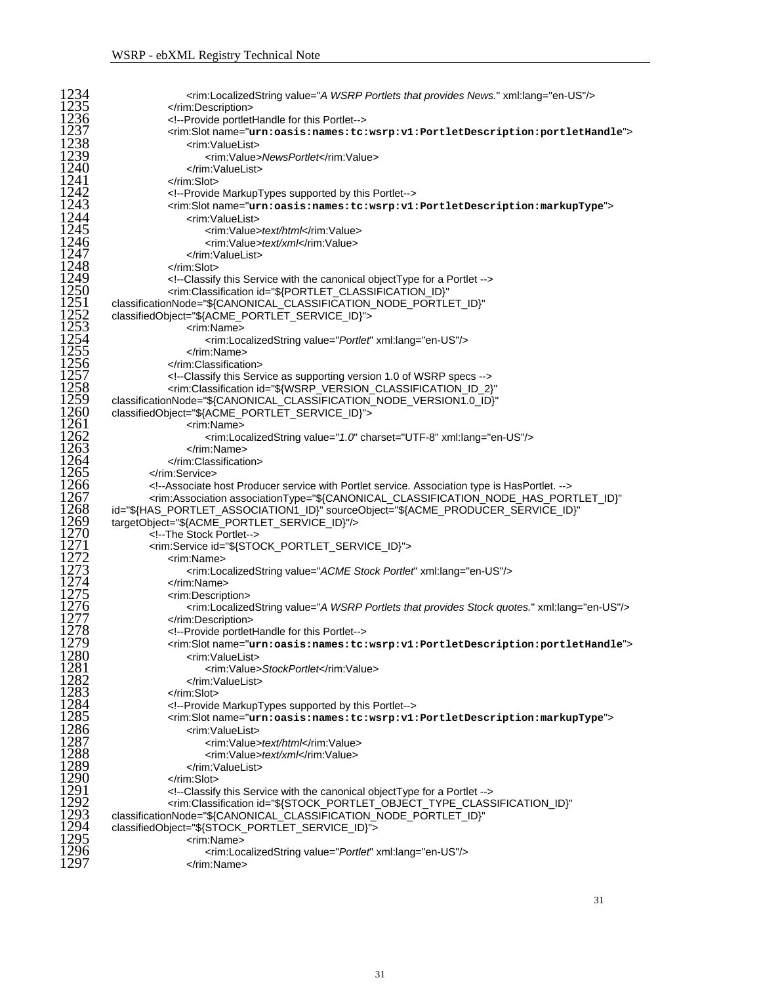| 1234         |                                                                                                                                                           |
|--------------|-----------------------------------------------------------------------------------------------------------------------------------------------------------|
|              | <rim:localizedstring value="A WSRP Portlets that provides News." xml:lang="en-US"></rim:localizedstring>                                                  |
| 1235         |                                                                                                                                                           |
| 1236         | Provide portletHandle for this Portlet                                                                                                                    |
| 1237         | <rim:slotname="urn:oasis:names:tc:wsrp:v1:portletdescription:portlethandle"></rim:slotname="urn:oasis:names:tc:wsrp:v1:portletdescription:portlethandle"> |
| 1238         | <rim:valuelist></rim:valuelist>                                                                                                                           |
| 1239         | <rim:value>NewsPortlet</rim:value>                                                                                                                        |
| 1240         |                                                                                                                                                           |
| 1241         |                                                                                                                                                           |
| 1242         | Provide MarkupTypes supported by this Portlet                                                                                                             |
| 1243         | <rim:slotname="urn:oasis:names:tc:wsrp:v1:portletdescription:markuptype"></rim:slotname="urn:oasis:names:tc:wsrp:v1:portletdescription:markuptype">       |
| 1244         | <rim:valuelist></rim:valuelist>                                                                                                                           |
| 1245         | <rim:value>text/html</rim:value>                                                                                                                          |
| 1246         | <rim:value>text/xml</rim:value>                                                                                                                           |
| 1247         |                                                                                                                                                           |
| 1248         | $\langle$ rim:Slot>                                                                                                                                       |
| 1249         | Classify this Service with the canonical object Type for a Portlet                                                                                        |
| 1250         | <rim:classification <="" id="\${PORTLET_CLASSIFICATION_ID}" td=""></rim:classification>                                                                   |
| 1251         | classificationNode="\${CANONICAL_CLASSIFICATION_NODE_PORTLET_ID}"                                                                                         |
| 1252         | classifiedObject="\${ACME_PORTLET_SERVICE_ID}">                                                                                                           |
| 1253         | <rim:name></rim:name>                                                                                                                                     |
| 1254         | <rim:localizedstring value="Portlet" xml:lang="en-US"></rim:localizedstring>                                                                              |
| 1255         |                                                                                                                                                           |
| 1256         |                                                                                                                                                           |
| 1257         | Classify this Service as supporting version 1.0 of WSRP specs                                                                                             |
| 1258         | <rim:classification <="" id="\${WSRP_VERSION_CLASSIFICATION_ID_2}" td=""></rim:classification>                                                            |
| 1259         | classificationNode="\${CANONICAL_CLASSIFICATION_NODE_VERSION1.0_ID}"                                                                                      |
| 1260         | classifiedObject="\${ACME_PORTLET_SERVICE_ID}">                                                                                                           |
| 1261         | <rim:name></rim:name>                                                                                                                                     |
| 1262         | <rim:localizedstring charset="UTF-8" value="1.0" xml:lang="en-US"></rim:localizedstring>                                                                  |
| 1263         |                                                                                                                                                           |
| 1264         |                                                                                                                                                           |
| 1265         |                                                                                                                                                           |
| 1266         | Associate host Producer service with Portlet service. Association type is HasPortlet.                                                                     |
| 1267         | <rim:association <="" associationtype="\${CANONICAL_CLASSIFICATION_NODE_HAS_PORTLET_ID}" td=""></rim:association>                                         |
| 1268         |                                                                                                                                                           |
| 1269         | id="\${HAS_PORTLET_ASSOCIATION1_ID}" sourceObject="\${ACME_PRODUCER_SERVICE_ID}"                                                                          |
| 1270         | targetObject="\${ACME_PORTLET_SERVICE_ID}"/>                                                                                                              |
| 1271         | The Stock Portlet                                                                                                                                         |
| 1272         | <rim:service id="\${STOCK_PORTLET_SERVICE_ID}"><br/><rim:name></rim:name></rim:service>                                                                   |
| 1273         | <rim:localizedstring value="ACME Stock Portlet" xml:lang="en-US"></rim:localizedstring>                                                                   |
| 1274         |                                                                                                                                                           |
| 1275         | <rim:description></rim:description>                                                                                                                       |
| 1276         | <rim:localizedstring value="A WSRP Portlets that provides Stock quotes." xml:lang="en-US"></rim:localizedstring>                                          |
| 1277         |                                                                                                                                                           |
| 1278         | Provide portletHandle for this Portlet                                                                                                                    |
| 1279         |                                                                                                                                                           |
| 1280         | <rim:slotname="urn:oasis:names:tc:wsrp:v1:portletdescription:portlethandle"></rim:slotname="urn:oasis:names:tc:wsrp:v1:portletdescription:portlethandle"> |
|              | <rim:valuelist></rim:valuelist>                                                                                                                           |
| 1281<br>1282 | <rim:value>StockPortlet</rim:value>                                                                                                                       |
| 1283         |                                                                                                                                                           |
| 1284         | $\langle$ rim:Slot>                                                                                                                                       |
| 1285         | Provide MarkupTypes supported by this Portlet                                                                                                             |
|              | <rim:slotname="urn:oasis:names:tc:wsrp:v1:portletdescription:markuptype"></rim:slotname="urn:oasis:names:tc:wsrp:v1:portletdescription:markuptype">       |
| 1286         | <rim:valuelist></rim:valuelist>                                                                                                                           |
| 1287         | <rim:value>text/html</rim:value>                                                                                                                          |
| 1288         | <rim:value>text/xml</rim:value>                                                                                                                           |
| 1289         |                                                                                                                                                           |
| 1290         |                                                                                                                                                           |
| 1291         | Classify this Service with the canonical objectType for a Portlet                                                                                         |
| 1292         | <rim:classification <="" id="\${STOCK_PORTLET_OBJECT_TYPE_CLASSIFICATION_ID}" td=""></rim:classification>                                                 |
| 1293         | classificationNode="\${CANONICAL_CLASSIFICATION_NODE_PORTLET_ID}"                                                                                         |
| 1294         | classifiedObject="\${STOCK_PORTLET_SERVICE_ID}">                                                                                                          |
| 1295         | <rim:name></rim:name>                                                                                                                                     |
| 1296<br>1297 | <rim:localizedstring value="Portlet" xml:lang="en-US"></rim:localizedstring>                                                                              |
|              |                                                                                                                                                           |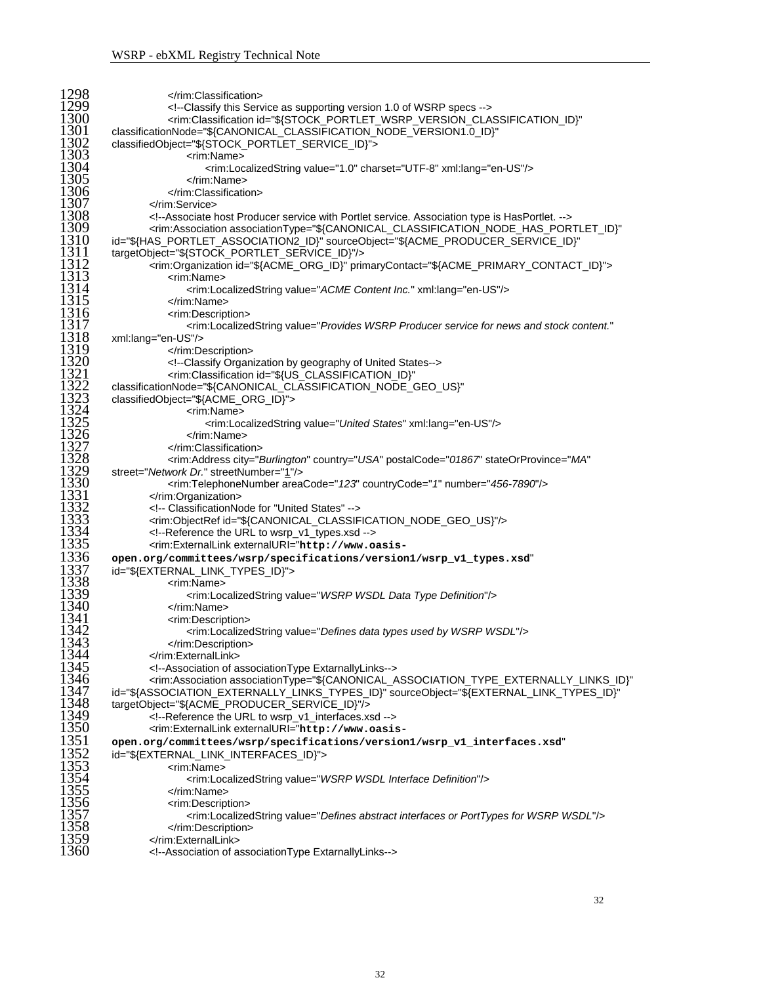| 1298         |                                                                                                                                                                                                                                     |
|--------------|-------------------------------------------------------------------------------------------------------------------------------------------------------------------------------------------------------------------------------------|
| 1299         | Classify this Service as supporting version 1.0 of WSRP specs                                                                                                                                                                       |
| 1300         | <rim:classification <="" id="\${STOCK_PORTLET_WSRP_VERSION_CLASSIFICATION_ID}" td=""></rim:classification>                                                                                                                          |
| 1301         | classificationNode="\${CANONICAL_CLASSIFICATION_NODE_VERSION1.0_ID}"                                                                                                                                                                |
| 1302         | classifiedObject="\${STOCK_PORTLET_SERVICE_ID}">                                                                                                                                                                                    |
| 1303<br>1304 | <rim:name></rim:name>                                                                                                                                                                                                               |
| 1305         | <rim:localizedstring charset="UTF-8" value="1.0" xml:lang="en-US"></rim:localizedstring><br>                                                                                                                                        |
| 1306         |                                                                                                                                                                                                                                     |
| 1307         |                                                                                                                                                                                                                                     |
| 1308         | Associate host Producer service with Portlet service. Association type is HasPortlet.                                                                                                                                               |
| 1309         | <rim:association <="" associationtype="\${CANONICAL_CLASSIFICATION_NODE_HAS_PORTLET_ID}" td=""></rim:association>                                                                                                                   |
| 1310         | id="\${HAS_PORTLET_ASSOCIATION2_ID}" sourceObject="\${ACME_PRODUCER_SERVICE_ID}"                                                                                                                                                    |
| 1311         | targetObject="\${STOCK_PORTLET_SERVICE_ID}"/>                                                                                                                                                                                       |
| 1312         | <rim:organization id="\${ACME_ORG_ID}" primarycontact="\${ACME_PRIMARY_CONTACT_ID}"></rim:organization>                                                                                                                             |
| 1313         | <rim:name></rim:name>                                                                                                                                                                                                               |
| 1314         | <rim:localizedstring value="ACME Content Inc." xml:lang="en-US"></rim:localizedstring>                                                                                                                                              |
| 1315<br>1316 |                                                                                                                                                                                                                                     |
| 1317         | <rim:description><br/><rim:localizedstring <="" td="" value="Provides WSRP Producer service for news and stock content."></rim:localizedstring></rim:description>                                                                   |
| 1318         | xml:lang="en-US"/>                                                                                                                                                                                                                  |
| 1319         |                                                                                                                                                                                                                                     |
| 1320         | Classify Organization by geography of United States                                                                                                                                                                                 |
| 1321         | <rim:classification <="" id="\${US_CLASSIFICATION_ID}" td=""></rim:classification>                                                                                                                                                  |
| 1322         | classificationNode="\${CANONICAL_CLASSIFICATION_NODE_GEO_US}"                                                                                                                                                                       |
| 1323         | classifiedObject="\${ACME_ORG_ID}">                                                                                                                                                                                                 |
| 1324         | <rim:name></rim:name>                                                                                                                                                                                                               |
| 1325         | <rim:localizedstring value="United States" xml:lang="en-US"></rim:localizedstring>                                                                                                                                                  |
| 1326<br>1327 |                                                                                                                                                                                                                                     |
| 1328         | <br><rim:address <="" city="Burlington" country="USA" postalcode="01867" stateorprovince="MA" td=""></rim:address>                                                                                                                  |
| 1329         | street="Network Dr." streetNumber="1"/>                                                                                                                                                                                             |
| 1330         | <rim:telephonenumber areacode="123" countrycode="1" number="456-7890"></rim:telephonenumber>                                                                                                                                        |
| 1331         |                                                                                                                                                                                                                                     |
| 1332         | ClassificationNode for "United States"                                                                                                                                                                                              |
| 1333         | <rim:objectref id="\${CANONICAL_CLASSIFICATION_NODE_GEO_US}"></rim:objectref>                                                                                                                                                       |
| 1334         | Reference the URL to wsrp_v1_types.xsd                                                                                                                                                                                              |
| 1335         | <rim:externallink <="" externaluri="http://www.oasis-&lt;/td&gt;&lt;/tr&gt;&lt;tr&gt;&lt;td&gt;1336&lt;br&gt;1337&lt;/td&gt;&lt;td&gt;open.org/committees/wsrp/specifications/version1/wsrp_v1_types.xsd" td=""></rim:externallink> |
| 1338         | id="\${EXTERNAL_LINK_TYPES_ID}">                                                                                                                                                                                                    |
| 1339         | <rim:name><br/><rim:localizedstring value="WSRP WSDL Data Type Definition"></rim:localizedstring></rim:name>                                                                                                                        |
| 1340         |                                                                                                                                                                                                                                     |
| 1341         | <rim:description></rim:description>                                                                                                                                                                                                 |
| 1342         | <rim:localizedstring value="Defines data types used by WSRP WSDL"></rim:localizedstring>                                                                                                                                            |
| 1343         |                                                                                                                                                                                                                                     |
| 1344         |                                                                                                                                                                                                                                     |
| 1345         | Association of association Type Extarnally Links                                                                                                                                                                                    |
| 1346         | <rim:association <="" associationtype="\${CANONICAL_ASSOCIATION_TYPE_EXTERNALLY_LINKS_ID}" td=""></rim:association>                                                                                                                 |
| 1347<br>1348 | id="\${ASSOCIATION_EXTERNALLY_LINKS_TYPES_ID}" sourceObject="\${EXTERNAL_LINK_TYPES_ID}"                                                                                                                                            |
| 1349         | targetObject="\${ACME_PRODUCER_SERVICE_ID}"/><br>Reference the URL to wsrp_v1_interfaces.xsd                                                                                                                                        |
| 1350         | <rim:externallink <="" externaluri="http://www.oasis-&lt;/td&gt;&lt;/tr&gt;&lt;tr&gt;&lt;td&gt;1351&lt;/td&gt;&lt;td&gt;open.org/committees/wsrp/specifications/version1/wsrp_v1_interfaces.xsd" td=""></rim:externallink>          |
| 1352         | id="\${EXTERNAL_LINK_INTERFACES_ID}">                                                                                                                                                                                               |
| 1353         | <rim:name></rim:name>                                                                                                                                                                                                               |
| 1354         | <rim:localizedstring value="WSRP WSDL Interface Definition"></rim:localizedstring>                                                                                                                                                  |
| 1355         |                                                                                                                                                                                                                                     |
| 1356         | <rim:description></rim:description>                                                                                                                                                                                                 |
| 1357         | <rim:localizedstring value="Defines abstract interfaces or PortTypes for WSRP WSDL"></rim:localizedstring>                                                                                                                          |
| 1358         |                                                                                                                                                                                                                                     |
| 1359<br>1360 |                                                                                                                                                                                                                                     |
|              | Association of associationType ExtarnallyLinks                                                                                                                                                                                      |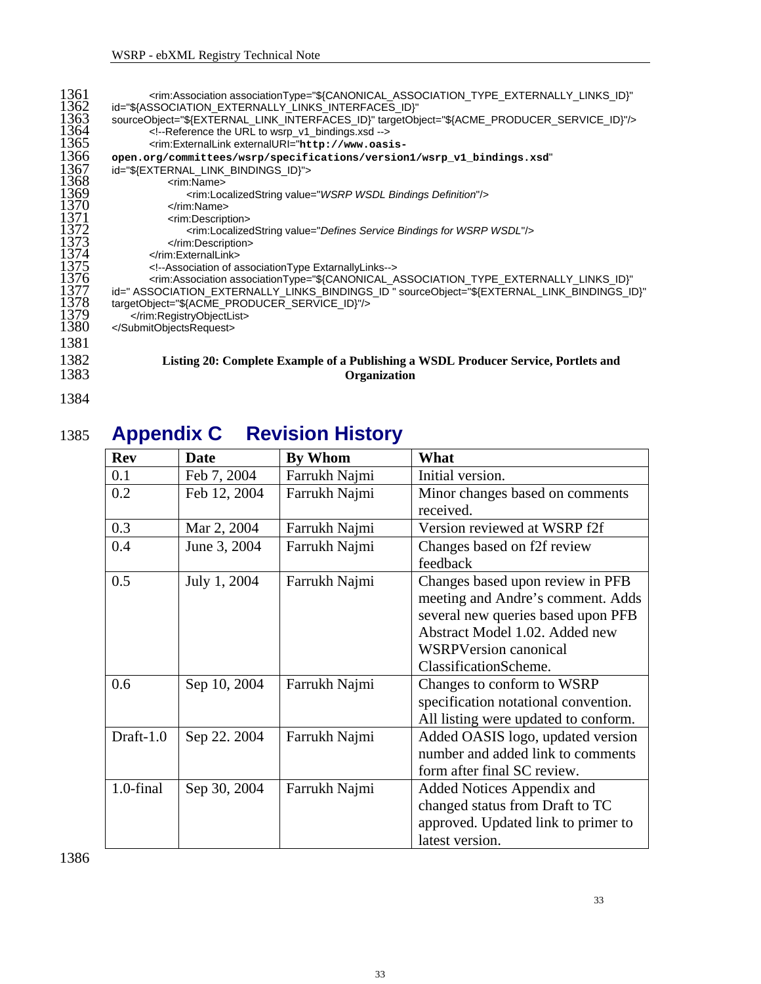<span id="page-32-0"></span>

| 1361<br>1362 | <rim:association <br="" associationtype="\${CANONICAL_ASSOCIATION_TYPE_EXTERNALLY_LINKS_ID}">id="\${ASSOCIATION_EXTERNALLY_LINKS_INTERFACES_ID}"</rim:association>                                                       |
|--------------|--------------------------------------------------------------------------------------------------------------------------------------------------------------------------------------------------------------------------|
| 1363         | sourceObject="\${EXTERNAL_LINK_INTERFACES_ID}" targetObject="\${ACME_PRODUCER_SERVICE_ID}"/>                                                                                                                             |
| 1364         | Reference the URL to wsrp_v1_bindings.xsd                                                                                                                                                                                |
| 1365         | <rim:externallink <="" externaluri="http://www.oasis-&lt;/td&gt;&lt;/tr&gt;&lt;tr&gt;&lt;td&gt;1366&lt;/td&gt;&lt;td&gt;open.org/committees/wsrp/specifications/version1/wsrp_v1_bindings.xsd" td=""></rim:externallink> |
| 1367         | id="\${EXTERNAL LINK BINDINGS ID}">                                                                                                                                                                                      |
| 1368         | <rim:name></rim:name>                                                                                                                                                                                                    |
| 1369<br>1370 | <rim:localizedstring value="WSRP WSDL Bindings Definition"></rim:localizedstring><br>                                                                                                                                    |
| 1371         | <rim:description></rim:description>                                                                                                                                                                                      |
| 1372         | <rim:localizedstring value="Defines Service Bindings for WSRP WSDL"></rim:localizedstring>                                                                                                                               |
| 1373         |                                                                                                                                                                                                                          |
| 1374         | $\le$ /rim:ExternalLink>                                                                                                                                                                                                 |
| 1375         | Association of association Type Extarnally Links                                                                                                                                                                         |
| 1376<br>1377 | <rim:association <="" associationtype="\${CANONICAL_ASSOCIATION_TYPE_EXTERNALLY_LINKS_ID}" td=""></rim:association>                                                                                                      |
| 1378         | id=" ASSOCIATION_EXTERNALLY_LINKS_BINDINGS_ID " sourceObject="\${EXTERNAL_LINK_BINDINGS_ID}"<br>targetObject="\${ACME_PRODUCER_SERVICE_ID}"/>                                                                            |
| 1379         |                                                                                                                                                                                                                          |
| 1380         |                                                                                                                                                                                                                          |
| 1381         |                                                                                                                                                                                                                          |
| 1382         | Listing 20: Complete Example of a Publishing a WSDL Producer Service, Portlets and                                                                                                                                       |
| 1383         | <b>Organization</b>                                                                                                                                                                                                      |
|              |                                                                                                                                                                                                                          |

1384

## 1385 **Appendix C Revision History**

| <b>Rev</b> | Date         | <b>By Whom</b> | What                                                                                                                                                                                                   |
|------------|--------------|----------------|--------------------------------------------------------------------------------------------------------------------------------------------------------------------------------------------------------|
| 0.1        | Feb 7, 2004  | Farrukh Najmi  | Initial version.                                                                                                                                                                                       |
| 0.2        | Feb 12, 2004 | Farrukh Najmi  | Minor changes based on comments<br>received.                                                                                                                                                           |
| 0.3        | Mar 2, 2004  | Farrukh Najmi  | Version reviewed at WSRP f2f                                                                                                                                                                           |
| 0.4        | June 3, 2004 | Farrukh Najmi  | Changes based on f2f review<br>feedback                                                                                                                                                                |
| 0.5        | July 1, 2004 | Farrukh Najmi  | Changes based upon review in PFB<br>meeting and Andre's comment. Adds<br>several new queries based upon PFB<br>Abstract Model 1.02. Added new<br><b>WSRPVersion canonical</b><br>ClassificationScheme. |
| 0.6        | Sep 10, 2004 | Farrukh Najmi  | Changes to conform to WSRP<br>specification notational convention.<br>All listing were updated to conform.                                                                                             |
| Draft-1.0  | Sep 22. 2004 | Farrukh Najmi  | Added OASIS logo, updated version<br>number and added link to comments<br>form after final SC review.                                                                                                  |
| 1.0-final  | Sep 30, 2004 | Farrukh Najmi  | Added Notices Appendix and<br>changed status from Draft to TC<br>approved. Updated link to primer to<br>latest version.                                                                                |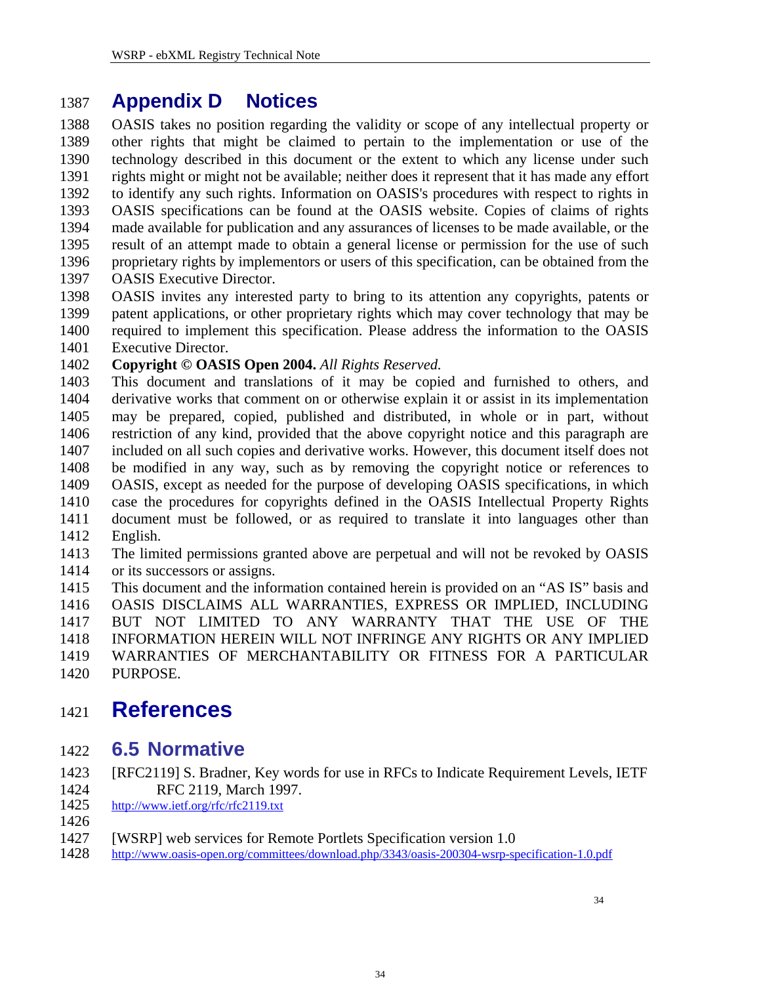#### <span id="page-33-0"></span>1387 **Appendix D Notices**

1388 1389 1390 1391 1392 1393 1394 1395 1396 1397 OASIS takes no position regarding the validity or scope of any intellectual property or other rights that might be claimed to pertain to the implementation or use of the technology described in this document or the extent to which any license under such rights might or might not be available; neither does it represent that it has made any effort to identify any such rights. Information on OASIS's procedures with respect to rights in OASIS specifications can be found at the OASIS website. Copies of claims of rights made available for publication and any assurances of licenses to be made available, or the result of an attempt made to obtain a general license or permission for the use of such proprietary rights by implementors or users of this specification, can be obtained from the OASIS Executive Director.

1398 1399 1400 1401 OASIS invites any interested party to bring to its attention any copyrights, patents or patent applications, or other proprietary rights which may cover technology that may be required to implement this specification. Please address the information to the OASIS Executive Director.

#### 1402 **Copyright © OASIS Open 2004.** *All Rights Reserved.*

- 1403 1404 1405 1406 1407 1408 1409 1410 1411 1412 This document and translations of it may be copied and furnished to others, and derivative works that comment on or otherwise explain it or assist in its implementation may be prepared, copied, published and distributed, in whole or in part, without restriction of any kind, provided that the above copyright notice and this paragraph are included on all such copies and derivative works. However, this document itself does not be modified in any way, such as by removing the copyright notice or references to OASIS, except as needed for the purpose of developing OASIS specifications, in which case the procedures for copyrights defined in the OASIS Intellectual Property Rights document must be followed, or as required to translate it into languages other than English.
- 1413 1414 The limited permissions granted above are perpetual and will not be revoked by OASIS or its successors or assigns.
- 1415 1416 1417 1418 1419 1420 This document and the information contained herein is provided on an "AS IS" basis and OASIS DISCLAIMS ALL WARRANTIES, EXPRESS OR IMPLIED, INCLUDING BUT NOT LIMITED TO ANY WARRANTY THAT THE USE OF THE INFORMATION HEREIN WILL NOT INFRINGE ANY RIGHTS OR ANY IMPLIED WARRANTIES OF MERCHANTABILITY OR FITNESS FOR A PARTICULAR PURPOSE.

### 1421 **References**

#### 1422 **6.5 Normative**

- <span id="page-33-1"></span>1423 [RFC2119] S. Bradner, Key words for use in RFCs to Indicate Requirement Levels, IETF RFC 2119, March 1997.
- 1424<br>1425 <http://www.ietf.org/rfc/rfc2119.txt>
- 1426
- 1427 [WSRP] web services for Remote Portlets Specification version 1.0<br>1428 http://www.oasis-open.org/committees/download.php/3343/oasis-200304-wsrp-sp
- <http://www.oasis-open.org/committees/download.php/3343/oasis-200304-wsrp-specification-1.0.pdf>